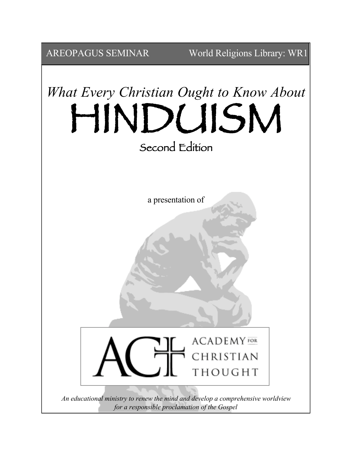

AREOPAGUS SEMINAR World Religions Library: WR1

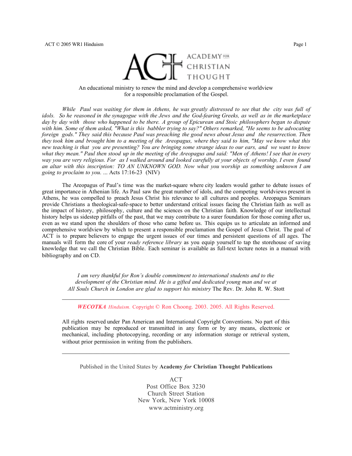

An educational ministry to renew the mind and develop a comprehensive worldview for a responsible proclamation of the Gospel.

*While Paul was waiting for them in Athens, he was greatly distressed to see that the city was full of idols. So he reasoned in the synagogue with the Jews and the God-fearing Greeks, as well as in the marketplace*  day by day with those who happened to be there. A group of Epicurean and Stoic philosophers began to dispute *with him. Some of them asked, "What is this babbler trying to say?" Others remarked, "He seems to be advocating foreign gods." They said this because Paul was preaching the good news about Jesus and the resurrection. Then they took him and brought him to a meeting of the Areopagus, where they said to him, "May we know what this new teaching is that you are presenting? You are bringing some strange ideas to our ears, and we want to know what they mean." Paul then stood up in the meeting of the Areopagus and said: "Men of Athens! I see that in every way you are very religious. For as I walked around and looked carefully at your objects of worship, I even found an altar with this inscription: TO AN UNKNOWN GOD. Now what you worship as something unknown I am going to proclaim to you.* ... Acts 17:16-23 (NIV)

The Areopagus of Paul's time was the market-square where city leaders would gather to debate issues of great importance in Athenian life. As Paul saw the great number of idols, and the competing worldviews present in Athens, he was compelled to preach Jesus Christ his relevance to all cultures and peoples. Areopagus Seminars provide Christians a theological-safe-space to better understand critical issues facing the Christian faith as well as the impact of history, philosophy, culture and the sciences on the Christian faith. Knowledge of our intellectual history helps us sidestep pitfalls of the past, that we may contribute to a surer foundation for those coming after us, even as we stand upon the shoulders of those who came before us. This equips us to articulate an informed and comprehensive worldview by which to present a responsible proclamation the Gospel of Jesus Christ. The goal of ACT is to prepare believers to engage the urgent issues of our times and persistent questions of all ages. The manuals will form the core of your *ready reference library* as you equip yourself to tap the storehouse of saving knowledge that we call the Christian Bible. Each seminar is available as full-text lecture notes in a manual with bibliography and on CD.

*I am very thankful for Ron's double commitment to international students and to the development of the Christian mind. He is a gifted and dedicated young man and we at All Souls Church in London are glad to support his ministry* The Rev. Dr. John R. W. Stott

 $\mathcal{L}_\mathcal{L} = \mathcal{L}_\mathcal{L} = \mathcal{L}_\mathcal{L} = \mathcal{L}_\mathcal{L} = \mathcal{L}_\mathcal{L} = \mathcal{L}_\mathcal{L} = \mathcal{L}_\mathcal{L} = \mathcal{L}_\mathcal{L} = \mathcal{L}_\mathcal{L} = \mathcal{L}_\mathcal{L} = \mathcal{L}_\mathcal{L} = \mathcal{L}_\mathcal{L} = \mathcal{L}_\mathcal{L} = \mathcal{L}_\mathcal{L} = \mathcal{L}_\mathcal{L} = \mathcal{L}_\mathcal{L} = \mathcal{L}_\mathcal{L}$ *WECOTKA Hinduism.* Copyright © Ron Choong. 2003. 2005. All Rights Reserved.

All rights reserved under Pan American and International Copyright Conventions. No part of this publication may be reproduced or transmitted in any form or by any means, electronic or mechanical, including photocopying, recording or any information storage or retrieval system, without prior permission in writing from the publishers.

Published in the United States by **Academy** *for* **Christian Thought Publications**

 $\mathcal{L}_\mathcal{L} = \mathcal{L}_\mathcal{L} = \mathcal{L}_\mathcal{L} = \mathcal{L}_\mathcal{L} = \mathcal{L}_\mathcal{L} = \mathcal{L}_\mathcal{L} = \mathcal{L}_\mathcal{L} = \mathcal{L}_\mathcal{L} = \mathcal{L}_\mathcal{L} = \mathcal{L}_\mathcal{L} = \mathcal{L}_\mathcal{L} = \mathcal{L}_\mathcal{L} = \mathcal{L}_\mathcal{L} = \mathcal{L}_\mathcal{L} = \mathcal{L}_\mathcal{L} = \mathcal{L}_\mathcal{L} = \mathcal{L}_\mathcal{L}$ 

ACT Post Office Box 3230 Church Street Station New York, New York 10008 www.actministry.org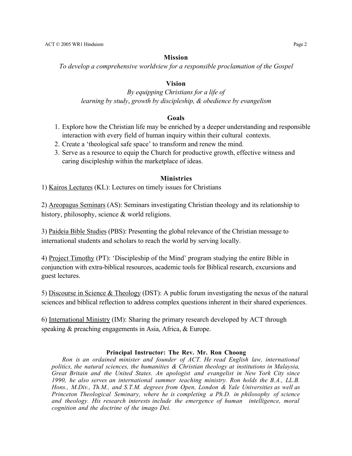#### **Mission**

*To develop a comprehensive worldview for a responsible proclamation of the Gospel*

### **Vision**

*By equipping Christians for a life of learning by study*, *growth by discipleship, & obedience by evangelism*

#### **Goals**

- 1. Explore how the Christian life may be enriched by a deeper understanding and responsible interaction with every field of human inquiry within their cultural contexts.
- 2. Create a 'theological safe space' to transform and renew the mind.
- 3. Serve as a resource to equip the Church for productive growth, effective witness and caring discipleship within the marketplace of ideas.

#### **Ministries**

1) Kairos Lectures (KL): Lectures on timely issues for Christians

2) Areopagus Seminars (AS): Seminars investigating Christian theology and its relationship to history, philosophy, science & world religions.

3) Paideia Bible Studies (PBS): Presenting the global relevance of the Christian message to international students and scholars to reach the world by serving locally.

4) Project Timothy (PT): 'Discipleship of the Mind' program studying the entire Bible in conjunction with extra-biblical resources, academic tools for Biblical research, excursions and guest lectures.

5) Discourse in Science & Theology (DST): A public forum investigating the nexus of the natural sciences and biblical reflection to address complex questions inherent in their shared experiences.

6) International Ministry (IM): Sharing the primary research developed by ACT through speaking & preaching engagements in Asia, Africa, & Europe.

#### **Principal Instructor: The Rev. Mr. Ron Choong**

*Ron is an ordained minister and founder of ACT. He read English law, international politics, the natural sciences, the humanities & Christian theology at institutions in Malaysia, Great Britain and the United States. An apologist and evangelist in New York City since 1990, he also serves an international summer teaching ministry. Ron holds the B.A., LL.B. Hons., M.Div., Th.M., and S.T.M. degrees from Open, London & Yale Universities as well as Princeton Theological Seminary, where he is completing a Ph.D. in philosophy of science and theology. His research interests include the emergence of human intelligence, moral cognition and the doctrine of the imago Dei.*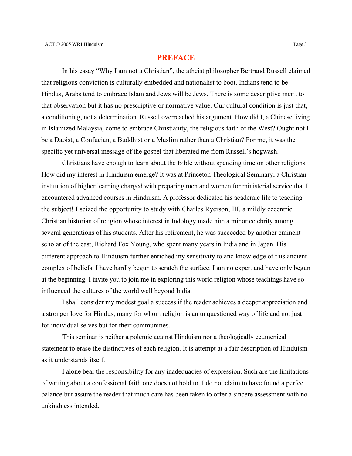#### **PREFACE**

In his essay "Why I am not a Christian", the atheist philosopher Bertrand Russell claimed that religious conviction is culturally embedded and nationalist to boot. Indians tend to be Hindus, Arabs tend to embrace Islam and Jews will be Jews. There is some descriptive merit to that observation but it has no prescriptive or normative value. Our cultural condition is just that, a conditioning, not a determination. Russell overreached his argument. How did I, a Chinese living in Islamized Malaysia, come to embrace Christianity, the religious faith of the West? Ought not I be a Daoist, a Confucian, a Buddhist or a Muslim rather than a Christian? For me, it was the specific yet universal message of the gospel that liberated me from Russell's hogwash.

Christians have enough to learn about the Bible without spending time on other religions. How did my interest in Hinduism emerge? It was at Princeton Theological Seminary, a Christian institution of higher learning charged with preparing men and women for ministerial service that I encountered advanced courses in Hinduism. A professor dedicated his academic life to teaching the subject! I seized the opportunity to study with Charles Ryerson, III, a mildly eccentric Christian historian of religion whose interest in Indology made him a minor celebrity among several generations of his students. After his retirement, he was succeeded by another eminent scholar of the east, Richard Fox Young, who spent many years in India and in Japan. His different approach to Hinduism further enriched my sensitivity to and knowledge of this ancient complex of beliefs. I have hardly begun to scratch the surface. I am no expert and have only begun at the beginning. I invite you to join me in exploring this world religion whose teachings have so influenced the cultures of the world well beyond India.

I shall consider my modest goal a success if the reader achieves a deeper appreciation and a stronger love for Hindus, many for whom religion is an unquestioned way of life and not just for individual selves but for their communities.

This seminar is neither a polemic against Hinduism nor a theologically ecumenical statement to erase the distinctives of each religion. It is attempt at a fair description of Hinduism as it understands itself.

I alone bear the responsibility for any inadequacies of expression. Such are the limitations of writing about a confessional faith one does not hold to. I do not claim to have found a perfect balance but assure the reader that much care has been taken to offer a sincere assessment with no unkindness intended.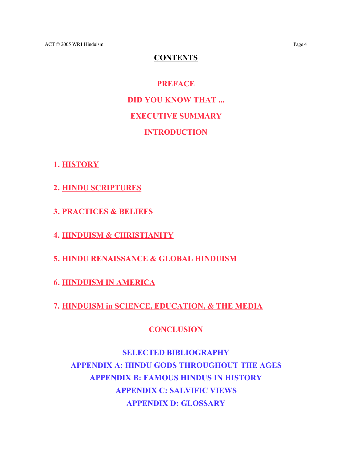# **CONTENTS**

# **PREFACE DID YOU KNOW THAT ... EXECUTIVE SUMMARY INTRODUCTION**

**1. HISTORY**

- **2. HINDU SCRIPTURES**
- **3. PRACTICES & BELIEFS**
- **4. HINDUISM & CHRISTIANITY**
- **5. HINDU RENAISSANCE & GLOBAL HINDUISM**
- **6. HINDUISM IN AMERICA**
- **7. HINDUISM in SCIENCE, EDUCATION, & THE MEDIA**

# **CONCLUSION**

**SELECTED BIBLIOGRAPHY APPENDIX A: HINDU GODS THROUGHOUT THE AGES APPENDIX B: FAMOUS HINDUS IN HISTORY APPENDIX C: SALVIFIC VIEWS APPENDIX D: GLOSSARY**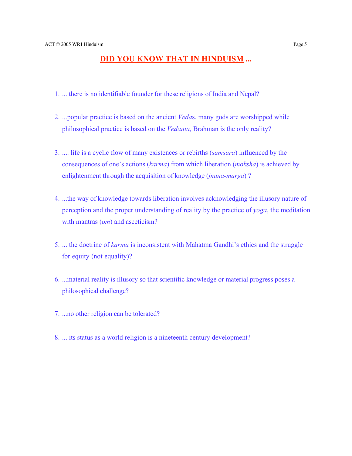# **DID YOU KNOW THAT IN HINDUISM ...**

- 1. ... there is no identifiable founder for these religions of India and Nepal?
- 2. ...popular practice is based on the ancient *Veda*s, many gods are worshipped while philosophical practice is based on the *Vedanta,* Brahman is the only reality?
- 3. .... life is a cyclic flow of many existences or rebirths (*samsara*) influenced by the consequences of one's actions (*karma*) from which liberation (*moksha*) is achieved by enlightenment through the acquisition of knowledge (*jnana-marga*) ?
- 4. ...the way of knowledge towards liberation involves acknowledging the illusory nature of perception and the proper understanding of reality by the practice of *yoga*, the meditation with mantras (*om*) and asceticism?
- 5. ... the doctrine of *karma* is inconsistent with Mahatma Gandhi's ethics and the struggle for equity (not equality)?
- 6. ...material reality is illusory so that scientific knowledge or material progress poses a philosophical challenge?
- 7. ...no other religion can be tolerated?
- 8. ... its status as a world religion is a nineteenth century development?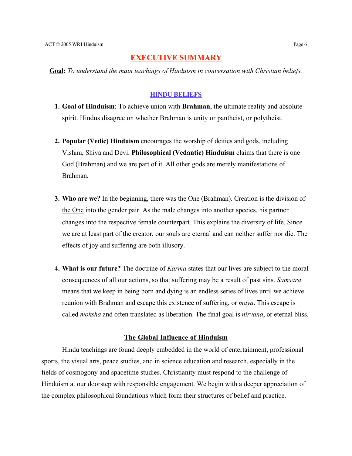# **EXECUTIVE SUMMARY**

#### **Goal:** *To understand the main teachings of Hinduism in conversation with Christian beliefs.*

#### **HINDU BELIEFS**

- **1. Goal of Hinduism**: To achieve union with **Brahman**, the ultimate reality and absolute spirit. Hindus disagree on whether Brahman is unity or pantheist, or polytheist.
- **2. Popular (Vedic) Hinduism** encourages the worship of deities and gods, including Vishnu, Shiva and Devi. **Philosophical (Vedantic) Hinduism** claims that there is one God (Brahman) and we are part of it. All other gods are merely manifestations of Brahman.
- **3. Who are we?** In the beginning, there was the One (Brahman). Creation is the division of the One into the gender pair. As the male changes into another species, his partner changes into the respective female counterpart. This explains the diversity of life. Since we are at least part of the creator, our souls are eternal and can neither suffer nor die. The effects of joy and suffering are both illusory.
- **4. What is our future?** The doctrine of *Karma* states that our lives are subject to the moral consequences of all our actions, so that suffering may be a result of past sins. *Samsara* means that we keep in being born and dying is an endless series of lives until we achieve reunion with Brahman and escape this existence of suffering, or *maya*. This escape is called *moksha* and often translated as liberation. The final goal is *nirvana*, or eternal bliss.

#### **The Global Influence of Hinduism**

Hindu teachings are found deeply embedded in the world of entertainment, professional sports, the visual arts, peace studies, and in science education and research, especially in the fields of cosmogony and spacetime studies. Christianity must respond to the challenge of Hinduism at our doorstep with responsible engagement. We begin with a deeper appreciation of the complex philosophical foundations which form their structures of belief and practice.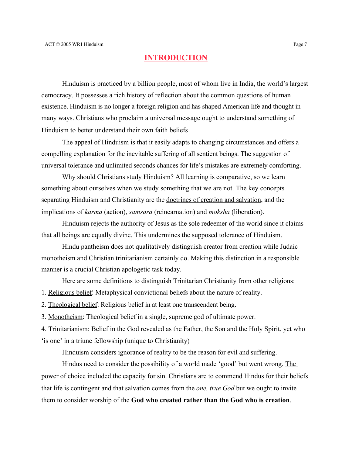# **INTRODUCTION**

Hinduism is practiced by a billion people, most of whom live in India, the world's largest democracy. It possesses a rich history of reflection about the common questions of human existence. Hinduism is no longer a foreign religion and has shaped American life and thought in many ways. Christians who proclaim a universal message ought to understand something of Hinduism to better understand their own faith beliefs

The appeal of Hinduism is that it easily adapts to changing circumstances and offers a compelling explanation for the inevitable suffering of all sentient beings. The suggestion of universal tolerance and unlimited seconds chances for life's mistakes are extremely comforting.

Why should Christians study Hinduism? All learning is comparative, so we learn something about ourselves when we study something that we are not. The key concepts separating Hinduism and Christianity are the doctrines of creation and salvation, and the implications of *karma* (action), *samsara* (reincarnation) and *moksha* (liberation).

Hinduism rejects the authority of Jesus as the sole redeemer of the world since it claims that all beings are equally divine. This undermines the supposed tolerance of Hinduism.

Hindu pantheism does not qualitatively distinguish creator from creation while Judaic monotheism and Christian trinitarianism certainly do. Making this distinction in a responsible manner is a crucial Christian apologetic task today.

Here are some definitions to distinguish Trinitarian Christianity from other religions:

1. Religious belief: Metaphysical convictional beliefs about the nature of reality.

2. Theological belief: Religious belief in at least one transcendent being.

3. Monotheism: Theological belief in a single, supreme god of ultimate power.

4. Trinitarianism: Belief in the God revealed as the Father, the Son and the Holy Spirit, yet who 'is one' in a triune fellowship (unique to Christianity)

Hinduism considers ignorance of reality to be the reason for evil and suffering.

Hindus need to consider the possibility of a world made 'good' but went wrong. The power of choice included the capacity for sin. Christians are to commend Hindus for their beliefs that life is contingent and that salvation comes from the *one, true God* but we ought to invite them to consider worship of the **God who created rather than the God who is creation**.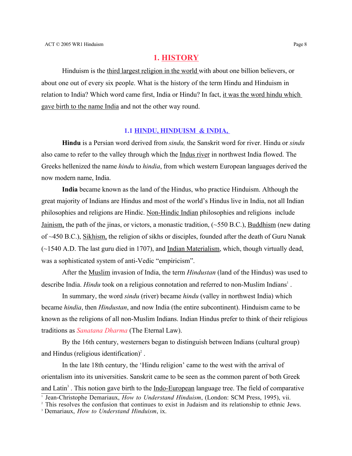### **1. HISTORY**

Hinduism is the third largest religion in the world with about one billion believers, or about one out of every six people. What is the history of the term Hindu and Hinduism in relation to India? Which word came first, India or Hindu? In fact, it was the word hindu which gave birth to the name India and not the other way round.

### **1.1 HINDU, HINDUISM & INDIA,**

**Hindu** is a Persian word derived from *sindu,* the Sanskrit word for river. Hindu or *sindu* also came to refer to the valley through which the Indus river in northwest India flowed. The Greeks hellenized the name *hindu* to *hindia*, from which western European languages derived the now modern name, India.

**India** became known as the land of the Hindus, who practice Hinduism. Although the great majority of Indians are Hindus and most of the world's Hindus live in India, not all Indian philosophies and religions are Hindic. Non-Hindic Indian philosophies and religions include Jainism, the path of the jinas, or victors, a monastic tradition,  $(\sim 550 \text{ B.C.})$ , Buddhism (new dating of ~450 B.C.), Sikhism, the religion of sikhs or disciples, founded after the death of Guru Nanak  $(-1540$  A.D. The last guru died in 1707), and Indian Materialism, which, though virtually dead, was a sophisticated system of anti-Vedic "empiricism".

After the Muslim invasion of India, the term *Hindustan* (land of the Hindus) was used to describe India. *Hindu* took on a religious connotation and referred to non-Muslim Indians<sup>1</sup>.

In summary, the word *sindu* (river) became *hindu* (valley in northwest India) which became *hindia*, then *Hindustan*, and now India (the entire subcontinent). Hinduism came to be known as the religions of all non-Muslim Indians. Indian Hindus prefer to think of their religious traditions as *Sanatana Dharma* (The Eternal Law).

By the 16th century, westerners began to distinguish between Indians (cultural group) and Hindus (religious identification)<sup>2</sup>.

In the late 18th century, the 'Hindu religion' came to the west with the arrival of orientalism into its universities. Sanskrit came to be seen as the common parent of both Greek and Latin<sup>3</sup>. This notion gave birth to the **Indo-European** language tree. The field of comparative

<sup>1</sup> Jean-Christophe Demariaux, *How to Understand Hinduism*, (London: SCM Press, 1995), vii.

<sup>&</sup>lt;sup>2</sup> This resolves the confusion that continues to exist in Judaism and its relationship to ethnic Jews.

<sup>3</sup> Demariaux, *How to Understand Hinduism*, ix.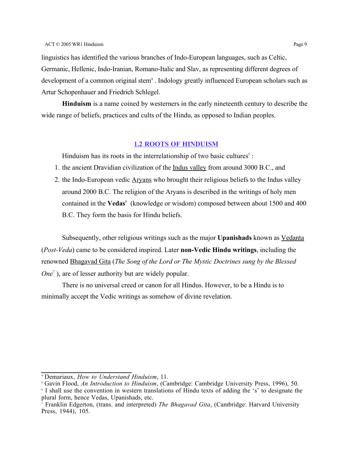linguistics has identified the various branches of Indo-European languages, such as Celtic, Germanic, Hellenic, Indo-Iranian, Romano-Italic and Slav, as representing different degrees of development of a common original stem<sup>4</sup>. Indology greatly influenced European scholars such as Artur Schopenhauer and Friedrich Schlegel.

**Hinduism** is a name coined by westerners in the early nineteenth century to describe the wide range of beliefs, practices and cults of the Hindu, as opposed to Indian peoples.

### **1.2 ROOTS OF HINDUISM**

Hinduism has its roots in the interrelationship of two basic cultures<sup>5</sup>:

- 1. the ancient Dravidian civilization of the Indus valley from around 3000 B.C., and
- 2. the Indo-European vedic Aryans who brought their religious beliefs to the Indus valley around 2000 B.C. The religion of the Aryans is described in the writings of holy men contained in the **Vedas**<sup>6</sup> (knowledge or wisdom) composed between about 1500 and 400 B.C. They form the basis for Hindu beliefs.

Subsequently, other religious writings such as the major **Upanishads** known as Vedanta (*Post-Veda*) came to be considered inspired. Later **non-Vedic Hindu writings**, including the renowned Bhagavad Gita (*The Song of the Lord or The Mystic Doctrines sung by the Blessed One*<sup>7</sup>), are of lesser authority but are widely popular.

There is no universal creed or canon for all Hindus. However, to be a Hindu is to minimally accept the Vedic writings as somehow of divine revelation.

<sup>4</sup> Demariaux, *How to Understand Hinduism*, 11.

<sup>5</sup> Gavin Flood, *An Introduction to Hinduism*, (Cambridge: Cambridge University Press, 1996), 50.

<sup>6</sup> I shall use the convention in western translations of Hindu texts of adding the 's' to designate the plural form, hence Vedas, Upanishads, etc.

<sup>7</sup> Franklin Edgerton, (trans. and interpreted) *The Bhagavad Gita*, (Cambridge: Harvard University Press, 1944), 105.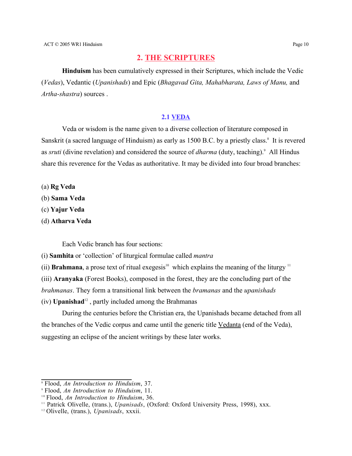# **2. THE SCRIPTURES**

**Hinduism** has been cumulatively expressed in their Scriptures, which include the Vedic (*Vedas*), Vedantic (*Upanishads*) and Epic (*Bhagavad Gita, Mahabharata, Laws of Manu,* and *Artha-shastra*) sources .

# **2.1 VEDA**

Veda or wisdom is the name given to a diverse collection of literature composed in Sanskrit (a sacred language of Hinduism) as early as 1500 B.C. by a priestly class.<sup>8</sup> It is revered as *sruti* (divine revelation) and considered the source of *dharma* (duty, teaching).<sup>9</sup> All Hindus share this reverence for the Vedas as authoritative. It may be divided into four broad branches:

- (a) **Rg Veda**
- (b) **Sama Veda**
- (c) **Yajur Veda**
- (d) **Atharva Veda**

Each Vedic branch has four sections:

(i) **Samhita** or 'collection' of liturgical formulae called *mantra*

(ii) **Brahmana**, a prose text of ritual exegesis<sup>10</sup> which explains the meaning of the liturgy  $\frac{11}{11}$ 

(iii) **Aranyaka** (Forest Books), composed in the forest, they are the concluding part of the

*brahmanas*. They form a transitional link between the *bramanas* and the *upanishads*

(iv) **Upanishad**12 , partly included among the Brahmanas

During the centuries before the Christian era, the Upanishads became detached from all the branches of the Vedic corpus and came until the generic title Vedanta (end of the Veda), suggesting an eclipse of the ancient writings by these later works.

<sup>8</sup> Flood, *An Introduction to Hinduism*, 37.

<sup>9</sup> Flood, *An Introduction to Hinduism*, 11.

<sup>&</sup>lt;sup>10</sup> Flood, *An Introduction to Hinduism*, 36.

<sup>&</sup>lt;sup>11</sup> Patrick Olivelle, (trans.), *Upanisads*, (Oxford: Oxford University Press, 1998), xxx.

<sup>&</sup>lt;sup>12</sup> Olivelle, (trans.), *Upanisads*, xxxii.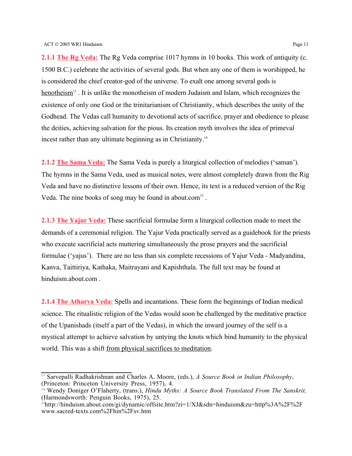**2.1.1 The Rg Veda:** The Rg Veda comprise 1017 hymns in 10 books. This work of antiquity (c. 1500 B.C.) celebrate the activities of several gods. But when any one of them is worshipped, he is considered the chief creator-god of the universe. To exalt one among several gods is  $henotheism<sup>13</sup>$ . It is unlike the monotheism of modern Judaism and Islam, which recognizes the existence of only one God or the trinitarianism of Christianity, which describes the unity of the Godhead. The Vedas call humanity to devotional acts of sacrifice, prayer and obedience to please the deities, achieving salvation for the pious. Its creation myth involves the idea of primeval incest rather than any ultimate beginning as in Christianity.<sup>14</sup>

**2.1.2 The Sama Veda:** The Sama Veda is purely a liturgical collection of melodies ('saman'). The hymns in the Sama Veda, used as musical notes, were almost completely drawn from the Rig Veda and have no distinctive lessons of their own. Hence, its text is a reduced version of the Rig Veda. The nine books of song may be found in about.com<sup>15</sup>.

**2.1.3 The Yajur Veda:** These sacrificial formulae form a liturgical collection made to meet the demands of a ceremonial religion. The Yajur Veda practically served as a guidebook for the priests who execute sacrificial acts muttering simultaneously the prose prayers and the sacrificial formulae ('yajus'). There are no less than six complete recessions of Yajur Veda - Madyandina, Kanva, Taittiriya, Kathaka, Maitrayani and Kapishthala. The full text may be found at hinduism.about.com .

**2.1.4 The Atharva Veda:** Spells and incantations. These form the beginnings of Indian medical science. The ritualistic religion of the Vedas would soon be challenged by the meditative practice of the Upanishads (itself a part of the Vedas), in which the inward journey of the self is a mystical attempt to achieve salvation by untying the knots which bind humanity to the physical world. This was a shift from physical sacrifices to meditation.

<sup>&</sup>lt;sup>13</sup> Sarvepalli Radhakrishnan and Charles A. Moore, (eds.), *A Source Book in Indian Philosophy*, (Princeton: Princeton University Press, 1957), 4.

<sup>&</sup>lt;sup>14</sup> Wendy Doniger O'Flaherty, (trans.), *Hindu Myths: A Source Book Translated From The Sanskrit,* (Harmondsworth: Penguin Books, 1975), 25.

<sup>&</sup>lt;sup>15</sup>http://hinduism.about.com/gi/dynamic/offsite.htm?zi=1/XJ&sdn=hinduism&zu=http%3A%2F%2F www.sacred-texts.com%2Fhin%2Fsv.htm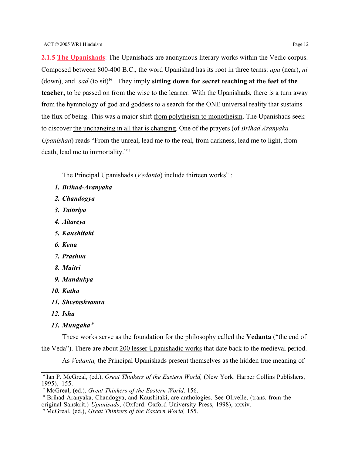**2.1.5 The Upanishads**: The Upanishads are anonymous literary works within the Vedic corpus. Composed between 800-400 B.C., the word Upanishad has its root in three terms: *upa* (near), *ni* (down), and *sad* (to sit)<sup>16</sup>. They imply **sitting down for secret teaching at the feet of the teacher,** to be passed on from the wise to the learner. With the Upanishads, there is a turn away from the hymnology of god and goddess to a search for the ONE universal reality that sustains the flux of being. This was a major shift from polytheism to monotheism. The Upanishads seek to discover the unchanging in all that is changing. One of the prayers (of *Brihad Aranyaka Upanishad*) reads "From the unreal, lead me to the real, from darkness, lead me to light, from death, lead me to immortality."17

The Principal Upanishads (*Vedanta*) include thirteen works<sup>18</sup>:

- *1. Brihad-Aranyaka*
- *2. Chandogya*
- *3. Taittriya*
- *4. Aitareya*
- *5. Kaushitaki*
- *6. Kena*
- *7. Prashna*
- *8. Maitri*
- *9. Mandukya*
- *10. Katha*
- *11. Shvetashvatara*
- *12. Isha*
- *13. Mungaka*19

These works serve as the foundation for the philosophy called the **Vedanta** ("the end of the Veda"). There are about 200 lesser Upanishadic works that date back to the medieval period.

As *Vedanta,* the Principal Upanishads present themselves as the hidden true meaning of

<sup>&</sup>lt;sup>16</sup> Ian P. McGreal, (ed.), *Great Thinkers of the Eastern World*, (New York: Harper Collins Publishers, 1995), 155.

<sup>&</sup>lt;sup>17</sup> McGreal, (ed.), *Great Thinkers of the Eastern World*, 156.

<sup>&</sup>lt;sup>18</sup> Brihad-Aranyaka, Chandogya, and Kaushitaki, are anthologies. See Olivelle, (trans. from the original Sanskrit.) *Upanisads*, (Oxford: Oxford University Press, 1998), xxxiv.

<sup>&</sup>lt;sup>19</sup> McGreal, (ed.), *Great Thinkers of the Eastern World*, 155.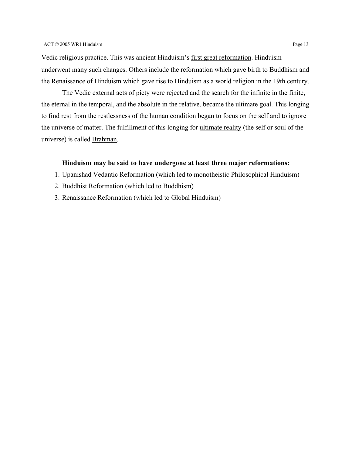Vedic religious practice. This was ancient Hinduism's first great reformation. Hinduism underwent many such changes. Others include the reformation which gave birth to Buddhism and the Renaissance of Hinduism which gave rise to Hinduism as a world religion in the 19th century.

The Vedic external acts of piety were rejected and the search for the infinite in the finite, the eternal in the temporal, and the absolute in the relative, became the ultimate goal. This longing to find rest from the restlessness of the human condition began to focus on the self and to ignore the universe of matter. The fulfillment of this longing for ultimate reality (the self or soul of the universe) is called Brahman.

# **Hinduism may be said to have undergone at least three major reformations:**

- 1. Upanishad Vedantic Reformation (which led to monotheistic Philosophical Hinduism)
- 2. Buddhist Reformation (which led to Buddhism)
- 3. Renaissance Reformation (which led to Global Hinduism)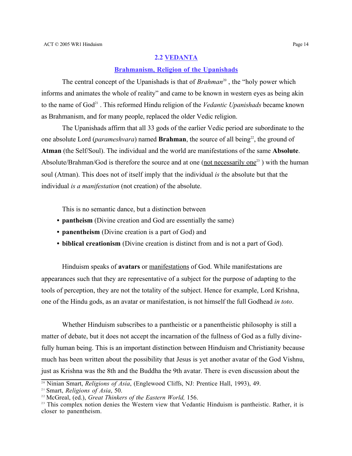#### **2.2 VEDANTA**

### **Brahmanism, Religion of the Upanishads**

The central concept of the Upanishads is that of *Brahman*<sup>20</sup>, the "holy power which informs and animates the whole of reality" and came to be known in western eyes as being akin to the name of God<sup>21</sup>. This reformed Hindu religion of the *Vedantic Upanishads* became known as Brahmanism, and for many people, replaced the older Vedic religion.

The Upanishads affirm that all 33 gods of the earlier Vedic period are subordinate to the one absolute Lord (*parameshvara*) named **Brahman**, the source of all being<sup>22</sup>, the ground of **Atman** (the Self/Soul). The individual and the world are manifestations of the same **Absolute**. Absolute/Brahman/God is therefore the source and at one (not necessarily one<sup>23</sup>) with the human soul (Atman). This does not of itself imply that the individual *is* the absolute but that the individual *is a manifestation* (not creation) of the absolute.

This is no semantic dance, but a distinction between

- **• pantheism** (Divine creation and God are essentially the same)
- **• panentheism** (Divine creation is a part of God) and
- **• biblical creationism** (Divine creation is distinct from and is not a part of God).

Hinduism speaks of **avatars** or manifestations of God. While manifestations are appearances such that they are representative of a subject for the purpose of adapting to the tools of perception, they are not the totality of the subject. Hence for example, Lord Krishna, one of the Hindu gods, as an avatar or manifestation, is not himself the full Godhead *in toto*.

Whether Hinduism subscribes to a pantheistic or a panentheistic philosophy is still a matter of debate, but it does not accept the incarnation of the fullness of God as a fully divinefully human being. This is an important distinction between Hinduism and Christianity because much has been written about the possibility that Jesus is yet another avatar of the God Vishnu, just as Krishna was the 8th and the Buddha the 9th avatar. There is even discussion about the

 $\frac{1}{20}$  Ninian Smart, *Religions of Asia*, (Englewood Cliffs, NJ: Prentice Hall, 1993), 49.

<sup>&</sup>lt;sup>21</sup> Smart, *Religions of Asia*, 50.

<sup>&</sup>lt;sup>22</sup> McGreal, (ed.), *Great Thinkers of the Eastern World*, 156.

<sup>&</sup>lt;sup>23</sup> This complex notion denies the Western view that Vedantic Hinduism is pantheistic. Rather, it is closer to panentheism.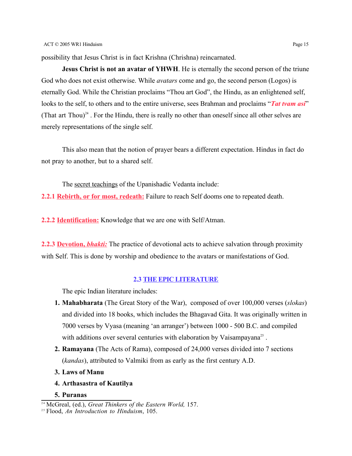possibility that Jesus Christ is in fact Krishna (Chrishna) reincarnated.

**Jesus Christ is not an avatar of YHWH**. He is eternally the second person of the triune God who does not exist otherwise. While *avatars* come and go, the second person (Logos) is eternally God. While the Christian proclaims "Thou art God", the Hindu, as an enlightened self, looks to the self, to others and to the entire universe, sees Brahman and proclaims "**Tat tvam asi**" (That art Thou)<sup>24</sup>. For the Hindu, there is really no other than oneself since all other selves are merely representations of the single self.

This also mean that the notion of prayer bears a different expectation. Hindus in fact do not pray to another, but to a shared self.

The secret teachings of the Upanishadic Vedanta include:

**2.2.1 Rebirth, or for most, redeath:** Failure to reach Self dooms one to repeated death.

**2.2.2 Identification:** Knowledge that we are one with Self/Atman.

**2.2.3 Devotion,** *bhakti:* The practice of devotional acts to achieve salvation through proximity with Self. This is done by worship and obedience to the avatars or manifestations of God.

#### **2.3 THE EPIC LITERATURE**

The epic Indian literature includes:

- **1. Mahabharata** (The Great Story of the War), composed of over 100,000 verses (*slokas*) and divided into 18 books, which includes the Bhagavad Gita. It was originally written in 7000 verses by Vyasa (meaning 'an arranger') between 1000 - 500 B.C. and compiled with additions over several centuries with elaboration by Vaisampayana<sup>25</sup>.
- **2. Ramayana** (The Acts of Rama), composed of 24,000 verses divided into 7 sections (*kandas*), attributed to Valmiki from as early as the first century A.D.
- **3. Laws of Manu**
- **4. Arthasastra of Kautilya**

#### **5. Puranas**

<sup>&</sup>lt;sup>24</sup> McGreal, (ed.), *Great Thinkers of the Eastern World*, 157.

<sup>&</sup>lt;sup>25</sup> Flood, *An Introduction to Hinduism*, 105.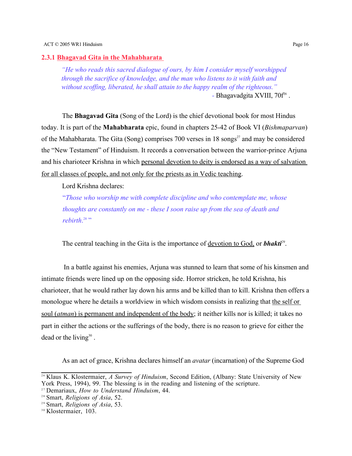#### **2.3.1 Bhagavad Gita in the Mahabharata**

*"He who reads this sacred dialogue of ours, by him I consider myself worshipped through the sacrifice of knowledge, and the man who listens to it with faith and without scoffing, liberated, he shall attain to the happy realm of the righteous."* - Bhagavadgita XVIII, 70f<sup>26</sup>.

The **Bhagavad Gita** (Song of the Lord) is the chief devotional book for most Hindus today. It is part of the **Mahabharata** epic, found in chapters 25-42 of Book VI (*Bishmaparvan*) of the Mahabharata. The Gita (Song) comprises 700 verses in 18 songs $27$  and may be considered the "New Testament" of Hinduism. It records a conversation between the warrior-prince Arjuna and his charioteer Krishna in which personal devotion to deity is endorsed as a way of salvation for all classes of people, and not only for the priests as in Vedic teaching.

Lord Krishna declares:

"*Those who worship me with complete discipline and who contemplate me, whose thoughts are constantly on me - these I soon raise up from the sea of death and*  rebirth.<sup>28</sup>"

The central teaching in the Gita is the importance of devotion to God, or *bhakti<sup>29</sup>*.

 In a battle against his enemies, Arjuna was stunned to learn that some of his kinsmen and intimate friends were lined up on the opposing side. Horror stricken, he told Krishna, his charioteer, that he would rather lay down his arms and be killed than to kill. Krishna then offers a monologue where he details a worldview in which wisdom consists in realizing that the self or soul (*atman*) is permanent and independent of the body; it neither kills nor is killed; it takes no part in either the actions or the sufferings of the body, there is no reason to grieve for either the dead or the living $30$ .

As an act of grace, Krishna declares himself an *avatar* (incarnation) of the Supreme God

<sup>&</sup>lt;sup>26</sup> Klaus K. Klostermaier, *A Survey of Hinduism*, Second Edition, (Albany: State University of New York Press, 1994), 99. The blessing is in the reading and listening of the scripture.

<sup>2 7</sup> Demariaux, *How to Understand Hinduism*, 44.

<sup>&</sup>lt;sup>28</sup> Smart, *Religions of Asia*, 52.

<sup>2 9</sup> Smart, *Religions of Asia*, 53.

<sup>&</sup>lt;sup>30</sup> Klostermaier, 103.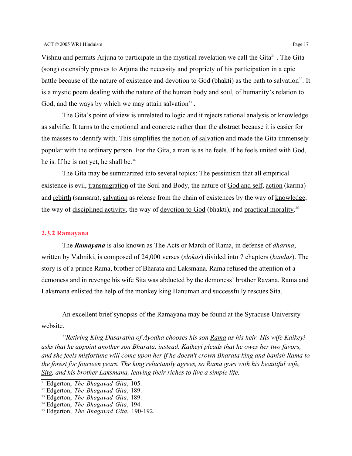Vishnu and permits Arjuna to participate in the mystical revelation we call the Gita $31$ . The Gita (song) ostensibly proves to Arjuna the necessity and propriety of his participation in a epic battle because of the nature of existence and devotion to God (bhakti) as the path to salvation<sup>32</sup>. It is a mystic poem dealing with the nature of the human body and soul, of humanity's relation to God, and the ways by which we may attain salvation<sup>33</sup>.

The Gita's point of view is unrelated to logic and it rejects rational analysis or knowledge as salvific. It turns to the emotional and concrete rather than the abstract because it is easier for the masses to identify with. This simplifies the notion of salvation and made the Gita immensely popular with the ordinary person. For the Gita, a man is as he feels. If he feels united with God, he is. If he is not yet, he shall be.<sup>34</sup>

The Gita may be summarized into several topics: The pessimism that all empirical existence is evil, transmigration of the Soul and Body, the nature of God and self, action (karma) and rebirth (samsara), salvation as release from the chain of existences by the way of knowledge, the way of <u>disciplined activity</u>, the way of <u>devotion to God</u> (bhakti), and <u>practical morality.</u><sup>35</sup>

#### **2.3.2 Ramayana**

The *Ramayana* is also known as The Acts or March of Rama, in defense of *dharma*, written by Valmiki, is composed of 24,000 verses (*slokas*) divided into 7 chapters (*kandas*). The story is of a prince Rama, brother of Bharata and Laksmana. Rama refused the attention of a demoness and in revenge his wife Sita was abducted by the demoness' brother Ravana. Rama and Laksmana enlisted the help of the monkey king Hanuman and successfully rescues Sita.

An excellent brief synopsis of the Ramayana may be found at the Syracuse University website.

*"Retiring King Dasaratha of Ayodha chooses his son Rama as his heir. His wife Kaikeyi asks that he appoint another son Bharata, instead. Kaikeyi pleads that he owes her two favors, and she feels misfortune will come upon her if he doesn't crown Bharata king and banish Rama to the forest for fourteen years. The king reluctantly agrees, so Rama goes with his beautiful wife, Sita, and his brother Laksmana, leaving their riches to live a simple life.*

<sup>&</sup>lt;sup>31</sup> Edgerton, *The Bhagavad Gita*, 105.

<sup>&</sup>lt;sup>32</sup> Edgerton, *The Bhagavad Gita*, 189.

<sup>3 3</sup> Edgerton, *The Bhagavad Gita*, 189.

<sup>&</sup>lt;sup>34</sup> Edgerton, *The Bhagavad Gita*, 194.

<sup>&</sup>lt;sup>35</sup> Edgerton, *The Bhagavad Gita*, 190-192.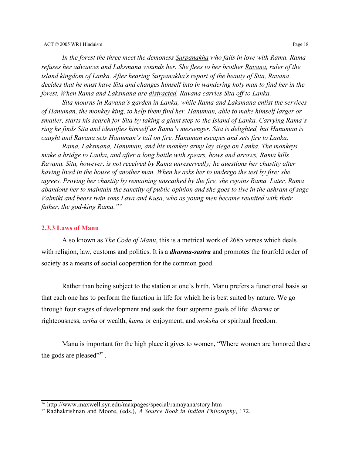#### ACT © 2005 WR1 Hinduism Page 18

*In the forest the three meet the demoness Surpanakha who falls in love with Rama. Rama refuses her advances and Laksmana wounds her. She flees to her brother Ravana, ruler of the island kingdom of Lanka. After hearing Surpanakha's report of the beauty of Sita, Ravana decides that he must have Sita and changes himself into in wandering holy man to find her in the forest. When Rama and Laksmana are distracted, Ravana carries Sita off to Lanka.*

*Sita mourns in Ravana's garden in Lanka, while Rama and Laksmana enlist the services of Hanuman, the monkey king, to help them find her. Hanuman, able to make himself larger or smaller, starts his search for Sita by taking a giant step to the Island of Lanka. Carrying Rama's ring he finds Sita and identifies himself as Rama's messenger. Sita is delighted, but Hanuman is caught and Ravana sets Hanuman's tail on fire. Hanuman escapes and sets fire to Lanka.*

*Rama, Laksmana, Hanuman, and his monkey army lay siege on Lanka. The monkeys make a bridge to Lanka, and after a long battle with spears, bows and arrows, Rama kills Ravana. Sita, however, is not received by Rama unreservedly; he questions her chastity after having lived in the house of another man. When he asks her to undergo the test by fire; she agrees. Proving her chastity by remaining unscathed by the fire, she rejoins Rama. Later, Rama abandons her to maintain the sanctity of public opinion and she goes to live in the ashram of sage Valmiki and bears twin sons Lava and Kusa, who as young men became reunited with their father, the god-king Rama."36*

#### **2.3.3 Laws of Manu**

Also known as *The Code of Manu*, this is a metrical work of 2685 verses which deals with religion, law, customs and politics. It is a *dharma-sastra* and promotes the fourfold order of society as a means of social cooperation for the common good.

Rather than being subject to the station at one's birth, Manu prefers a functional basis so that each one has to perform the function in life for which he is best suited by nature. We go through four stages of development and seek the four supreme goals of life: *dharma* or righteousness, *artha* or wealth, *kama* or enjoyment, and *moksha* or spiritual freedom.

Manu is important for the high place it gives to women, "Where women are honored there the gods are pleased"<sup>37</sup>.

<sup>&</sup>lt;sup>36</sup> http://www.maxwell.syr.edu/maxpages/special/ramayana/story.htm

<sup>&</sup>lt;sup>37</sup> Radhakrishnan and Moore, (eds.), *A Source Book in Indian Philosophy*, 172.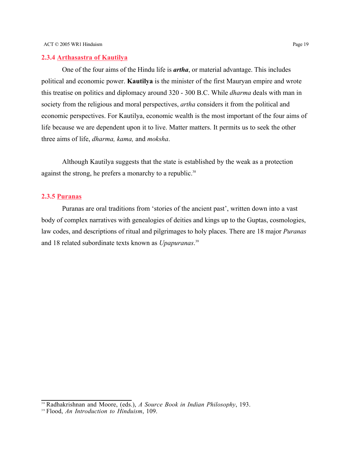#### **2.3.4 Arthasastra of Kautilya**

One of the four aims of the Hindu life is *artha*, or material advantage. This includes political and economic power. **Kautilya** is the minister of the first Mauryan empire and wrote this treatise on politics and diplomacy around 320 - 300 B.C. While *dharma* deals with man in society from the religious and moral perspectives, *artha* considers it from the political and economic perspectives. For Kautilya, economic wealth is the most important of the four aims of life because we are dependent upon it to live. Matter matters. It permits us to seek the other three aims of life, *dharma, kama,* and *moksha*.

Although Kautilya suggests that the state is established by the weak as a protection against the strong, he prefers a monarchy to a republic.<sup>38</sup>

#### **2.3.5 Puranas**

Puranas are oral traditions from 'stories of the ancient past', written down into a vast body of complex narratives with genealogies of deities and kings up to the Guptas, cosmologies, law codes, and descriptions of ritual and pilgrimages to holy places. There are 18 major *Puranas* and 18 related subordinate texts known as *Upapuranas*. 39

<sup>&</sup>lt;sup>38</sup> Radhakrishnan and Moore, (eds.), *A Source Book in Indian Philosophy*, 193.

<sup>&</sup>lt;sup>39</sup> Flood, *An Introduction to Hinduism*, 109.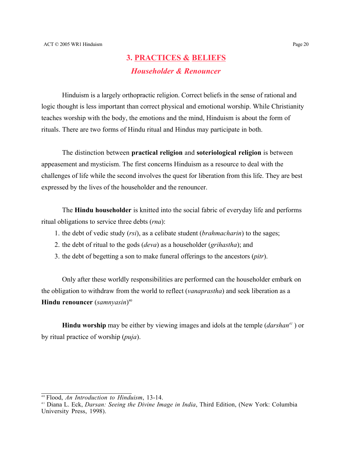# **3. PRACTICES & BELIEFS** *Householder & Renouncer*

Hinduism is a largely orthopractic religion. Correct beliefs in the sense of rational and logic thought is less important than correct physical and emotional worship. While Christianity teaches worship with the body, the emotions and the mind, Hinduism is about the form of rituals. There are two forms of Hindu ritual and Hindus may participate in both.

The distinction between **practical religion** and **soteriological religion** is between appeasement and mysticism. The first concerns Hinduism as a resource to deal with the challenges of life while the second involves the quest for liberation from this life. They are best expressed by the lives of the householder and the renouncer.

The **Hindu householder** is knitted into the social fabric of everyday life and performs ritual obligations to service three debts (*rna*):

- 1. the debt of vedic study (*rsi*), as a celibate student (*brahmacharin*) to the sages;
- 2. the debt of ritual to the gods (*deva*) as a householder (*grihastha*); and
- 3. the debt of begetting a son to make funeral offerings to the ancestors (*pitr*).

Only after these worldly responsibilities are performed can the householder embark on the obligation to withdraw from the world to reflect (*vanaprastha*) and seek liberation as a **Hindu renouncer** (*samnyasin*) 40

**Hindu worship** may be either by viewing images and idols at the temple (*darshan41* ) or by ritual practice of worship (*puja*).

<sup>&</sup>lt;sup>40</sup> Flood, *An Introduction to Hinduism*, 13-14.

<sup>&</sup>lt;sup>41</sup> Diana L. Eck, *Darsan: Seeing the Divine Image in India*, Third Edition, (New York: Columbia University Press, 1998).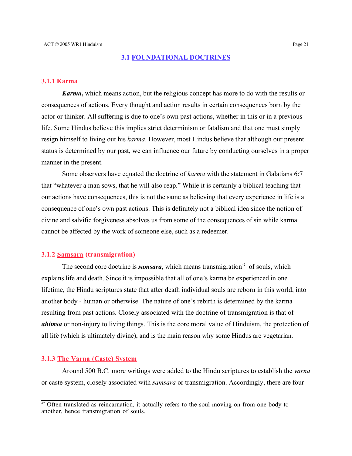# **3.1.1 Karma**

*Karma***,** which means action, but the religious concept has more to do with the results or consequences of actions. Every thought and action results in certain consequences born by the actor or thinker. All suffering is due to one's own past actions, whether in this or in a previous life. Some Hindus believe this implies strict determinism or fatalism and that one must simply resign himself to living out his *karma*. However, most Hindus believe that although our present status is determined by our past, we can influence our future by conducting ourselves in a proper manner in the present.

Some observers have equated the doctrine of *karma* with the statement in Galatians 6:7 that "whatever a man sows, that he will also reap." While it is certainly a biblical teaching that our actions have consequences, this is not the same as believing that every experience in life is a consequence of one's own past actions. This is definitely not a biblical idea since the notion of divine and salvific forgiveness absolves us from some of the consequences of sin while karma cannot be affected by the work of someone else, such as a redeemer.

#### **3.1.2 Samsara (transmigration)**

The second core doctrine is *samsara*, which means transmigration<sup>42</sup> of souls, which explains life and death. Since it is impossible that all of one's karma be experienced in one lifetime, the Hindu scriptures state that after death individual souls are reborn in this world, into another body - human or otherwise. The nature of one's rebirth is determined by the karma resulting from past actions. Closely associated with the doctrine of transmigration is that of *ahimsa* or non-injury to living things. This is the core moral value of Hinduism, the protection of all life (which is ultimately divine), and is the main reason why some Hindus are vegetarian.

#### **3.1.3 The Varna (Caste) System**

Around 500 B.C. more writings were added to the Hindu scriptures to establish the *varna*  or caste system, closely associated with *samsara* or transmigration. Accordingly, there are four

 $42$  Often translated as reincarnation, it actually refers to the soul moving on from one body to another, hence transmigration of souls.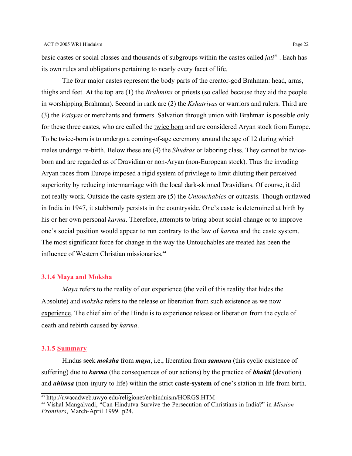basic castes or social classes and thousands of subgroups within the castes called *jati43* . Each has its own rules and obligations pertaining to nearly every facet of life.

The four major castes represent the body parts of the creator-god Brahman: head, arms, thighs and feet. At the top are (1) the *Brahmins* or priests (so called because they aid the people in worshipping Brahman). Second in rank are (2) the *Kshatriyas* or warriors and rulers. Third are (3) the *Vaisyas* or merchants and farmers. Salvation through union with Brahman is possible only for these three castes, who are called the twice born and are considered Aryan stock from Europe. To be twice-born is to undergo a coming-of-age ceremony around the age of 12 during which males undergo re-birth. Below these are (4) the *Shudras* or laboring class. They cannot be twiceborn and are regarded as of Dravidian or non-Aryan (non-European stock). Thus the invading Aryan races from Europe imposed a rigid system of privilege to limit diluting their perceived superiority by reducing intermarriage with the local dark-skinned Dravidians. Of course, it did not really work. Outside the caste system are (5) the *Untouchables* or outcasts. Though outlawed in India in 1947, it stubbornly persists in the countryside. One's caste is determined at birth by his or her own personal *karma*. Therefore, attempts to bring about social change or to improve one's social position would appear to run contrary to the law of *karma* and the caste system. The most significant force for change in the way the Untouchables are treated has been the influence of Western Christian missionaries.<sup>44</sup>

#### **3.1.4 Maya and Moksha**

*Maya* refers to the reality of our experience (the veil of this reality that hides the Absolute) and *moksha* refers to the release or liberation from such existence as we now experience. The chief aim of the Hindu is to experience release or liberation from the cycle of death and rebirth caused by *karma*.

#### **3.1.5 Summary**

Hindus seek *moksha* from *maya*, i.e., liberation from *samsara* (this cyclic existence of suffering) due to *karma* (the consequences of our actions) by the practice of *bhakti* (devotion) and *ahimsa* (non-injury to life) within the strict **caste-system** of one's station in life from birth.

 $43 \frac{\text{http://uwacadweb.uwyo.edu/religionet/er/hinduism/HORGS.HTM}}{44 \frac{\text{http://uwacadweb.uwyo.edu/religionet/er/hinduism/HORGS.HTM}}{44 \frac{\text{http://uwacadweb.uwyo.edu/religionet/er/hinduism/HORGS.HTM}}{44 \frac{\text{http://uwacadweb.uwyo.edu/religionet/er/hinduism/HORGS.HTM}}{44 \frac{\text{http://uwacadweb.uwyo.edu/religionet/er/hinduism/HORGS.HTM}}{44 \frac{\text{http://uwacadweb.uwyo.edu/religionet/er/hinduism/HORGS.HTM$ 

<sup>4 4</sup> Vishal Mangalvadi, "Can Hindutva Survive the Persecution of Christians in India?" in *Mission Frontiers*, March-April 1999. p24.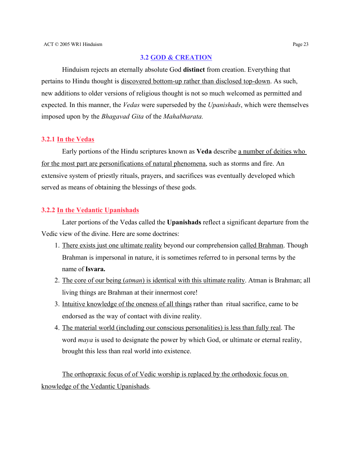#### **3.2 GOD & CREATION**

Hinduism rejects an eternally absolute God **distinct** from creation. Everything that pertains to Hindu thought is discovered bottom-up rather than disclosed top-down. As such, new additions to older versions of religious thought is not so much welcomed as permitted and expected. In this manner, the *Vedas* were superseded by the *Upanishads*, which were themselves imposed upon by the *Bhagavad Gita* of the *Mahabharata.*

#### **3.2.1 In the Vedas**

Early portions of the Hindu scriptures known as **Veda** describe a number of deities who for the most part are personifications of natural phenomena, such as storms and fire. An extensive system of priestly rituals, prayers, and sacrifices was eventually developed which served as means of obtaining the blessings of these gods.

### **3.2.2 In the Vedantic Upanishads**

Later portions of the Vedas called the **Upanishads** reflect a significant departure from the Vedic view of the divine. Here are some doctrines:

- 1. There exists just one ultimate reality beyond our comprehension called Brahman. Though Brahman is impersonal in nature, it is sometimes referred to in personal terms by the name of **Isvara.**
- 2. The core of our being (*atman*) is identical with this ultimate reality. Atman is Brahman; all living things are Brahman at their innermost core!
- 3. Intuitive knowledge of the oneness of all things rather than ritual sacrifice, came to be endorsed as the way of contact with divine reality.
- 4. The material world (including our conscious personalities) is less than fully real. The word *maya* is used to designate the power by which God, or ultimate or eternal reality, brought this less than real world into existence.

The orthopraxic focus of of Vedic worship is replaced by the orthodoxic focus on knowledge of the Vedantic Upanishads.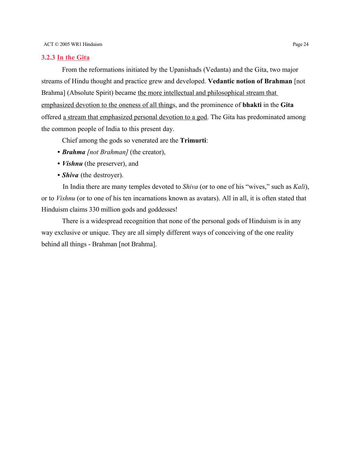### **3.2.3 In the Gita**

From the reformations initiated by the Upanishads (Vedanta) and the Gita, two major streams of Hindu thought and practice grew and developed. **Vedantic notion of Brahman** [not Brahma] (Absolute Spirit) became the more intellectual and philosophical stream that emphasized devotion to the oneness of all things, and the prominence of **bhakti** in the **Gita**  offered a stream that emphasized personal devotion to a god. The Gita has predominated among the common people of India to this present day.

Chief among the gods so venerated are the **Trimurti**:

- *• Brahma [not Brahman]* (the creator),
- *• Vishnu* (the preserver), and
- *• Shiva* (the destroyer).

In India there are many temples devoted to *Shiva* (or to one of his "wives," such as *Kali*), or to *Vishnu* (or to one of his ten incarnations known as avatars). All in all, it is often stated that Hinduism claims 330 million gods and goddesses!

There is a widespread recognition that none of the personal gods of Hinduism is in any way exclusive or unique. They are all simply different ways of conceiving of the one reality behind all things - Brahman [not Brahma].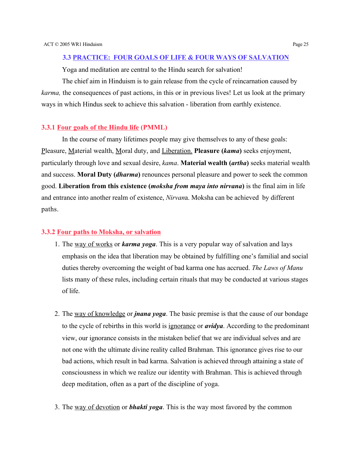#### **3.3 PRACTICE: FOUR GOALS OF LIFE & FOUR WAYS OF SALVATION**

Yoga and meditation are central to the Hindu search for salvation!

The chief aim in Hinduism is to gain release from the cycle of reincarnation caused by *karma,* the consequences of past actions, in this or in previous lives! Let us look at the primary ways in which Hindus seek to achieve this salvation - liberation from earthly existence.

#### **3.3.1 Four goals of the Hindu life (PMML)**

In the course of many lifetimes people may give themselves to any of these goals: Pleasure, Material wealth, Moral duty, and Liberation. **Pleasure (***kama***)** seeks enjoyment, particularly through love and sexual desire, *kama*. **Material wealth (***artha***)** seeks material wealth and success. **Moral Duty (***dharma***)** renounces personal pleasure and power to seek the common good. **Liberation from this existence (***moksha from maya into nirvana***)** is the final aim in life and entrance into another realm of existence, *Nirvan*a. Moksha can be achieved by different paths.

#### **3.3.2 Four paths to Moksha, or salvation**

- 1. The way of works or *karma yoga*. This is a very popular way of salvation and lays emphasis on the idea that liberation may be obtained by fulfilling one's familial and social duties thereby overcoming the weight of bad karma one has accrued. *The Laws of Manu* lists many of these rules, including certain rituals that may be conducted at various stages of life.
- 2. The way of knowledge or *jnana yoga*. The basic premise is that the cause of our bondage to the cycle of rebirths in this world is ignorance or *avidya*. According to the predominant view, our ignorance consists in the mistaken belief that we are individual selves and are not one with the ultimate divine reality called Brahman. This ignorance gives rise to our bad actions, which result in bad karma. Salvation is achieved through attaining a state of consciousness in which we realize our identity with Brahman. This is achieved through deep meditation, often as a part of the discipline of yoga.
- 3. The way of devotion or *bhakti yoga*. This is the way most favored by the common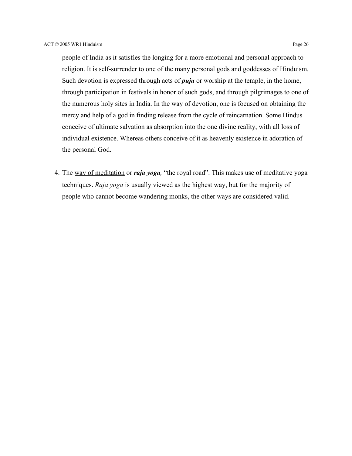people of India as it satisfies the longing for a more emotional and personal approach to religion. It is self-surrender to one of the many personal gods and goddesses of Hinduism. Such devotion is expressed through acts of *puja* or worship at the temple, in the home, through participation in festivals in honor of such gods, and through pilgrimages to one of the numerous holy sites in India. In the way of devotion, one is focused on obtaining the mercy and help of a god in finding release from the cycle of reincarnation. Some Hindus conceive of ultimate salvation as absorption into the one divine reality, with all loss of individual existence. Whereas others conceive of it as heavenly existence in adoration of the personal God.

4. The way of meditation or *raja yoga,* "the royal road". This makes use of meditative yoga techniques. *Raja yoga* is usually viewed as the highest way, but for the majority of people who cannot become wandering monks, the other ways are considered valid.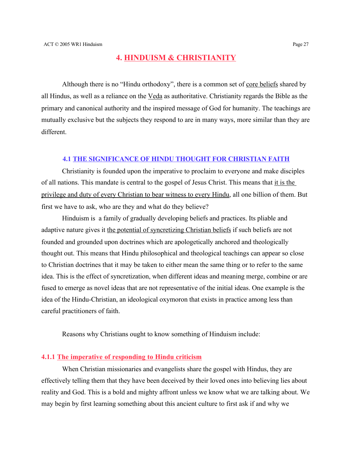# **4. HINDUISM & CHRISTIANITY**

Although there is no "Hindu orthodoxy", there is a common set of <u>core beliefs</u> shared by all Hindus, as well as a reliance on the Veda as authoritative. Christianity regards the Bible as the primary and canonical authority and the inspired message of God for humanity. The teachings are mutually exclusive but the subjects they respond to are in many ways, more similar than they are different.

# **4.1 THE SIGNIFICANCE OF HINDU THOUGHT FOR CHRISTIAN FAITH**

Christianity is founded upon the imperative to proclaim to everyone and make disciples of all nations. This mandate is central to the gospel of Jesus Christ. This means that it is the privilege and duty of every Christian to bear witness to every Hindu, all one billion of them. But first we have to ask, who are they and what do they believe?

Hinduism is a family of gradually developing beliefs and practices. Its pliable and adaptive nature gives it the potential of syncretizing Christian beliefs if such beliefs are not founded and grounded upon doctrines which are apologetically anchored and theologically thought out. This means that Hindu philosophical and theological teachings can appear so close to Christian doctrines that it may be taken to either mean the same thing or to refer to the same idea. This is the effect of syncretization, when different ideas and meaning merge, combine or are fused to emerge as novel ideas that are not representative of the initial ideas. One example is the idea of the Hindu-Christian, an ideological oxymoron that exists in practice among less than careful practitioners of faith.

Reasons why Christians ought to know something of Hinduism include:

### **4.1.1 The imperative of responding to Hindu criticism**

When Christian missionaries and evangelists share the gospel with Hindus, they are effectively telling them that they have been deceived by their loved ones into believing lies about reality and God. This is a bold and mighty affront unless we know what we are talking about. We may begin by first learning something about this ancient culture to first ask if and why we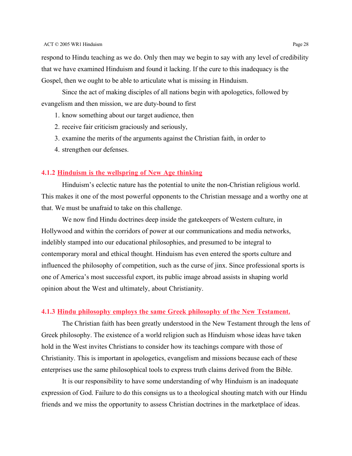respond to Hindu teaching as we do. Only then may we begin to say with any level of credibility that we have examined Hinduism and found it lacking. If the cure to this inadequacy is the Gospel, then we ought to be able to articulate what is missing in Hinduism.

Since the act of making disciples of all nations begin with apologetics, followed by evangelism and then mission, we are duty-bound to first

- 1. know something about our target audience, then
- 2. receive fair criticism graciously and seriously,
- 3. examine the merits of the arguments against the Christian faith, in order to
- 4. strengthen our defenses.

#### **4.1.2 Hinduism is the wellspring of New Age thinking**

Hinduism's eclectic nature has the potential to unite the non-Christian religious world. This makes it one of the most powerful opponents to the Christian message and a worthy one at that. We must be unafraid to take on this challenge.

We now find Hindu doctrines deep inside the gatekeepers of Western culture, in Hollywood and within the corridors of power at our communications and media networks, indelibly stamped into our educational philosophies, and presumed to be integral to contemporary moral and ethical thought. Hinduism has even entered the sports culture and influenced the philosophy of competition, such as the curse of jinx. Since professional sports is one of America's most successful export, its public image abroad assists in shaping world opinion about the West and ultimately, about Christianity.

#### **4.1.3 Hindu philosophy employs the same Greek philosophy of the New Testament.**

The Christian faith has been greatly understood in the New Testament through the lens of Greek philosophy. The existence of a world religion such as Hinduism whose ideas have taken hold in the West invites Christians to consider how its teachings compare with those of Christianity. This is important in apologetics, evangelism and missions because each of these enterprises use the same philosophical tools to express truth claims derived from the Bible.

It is our responsibility to have some understanding of why Hinduism is an inadequate expression of God. Failure to do this consigns us to a theological shouting match with our Hindu friends and we miss the opportunity to assess Christian doctrines in the marketplace of ideas.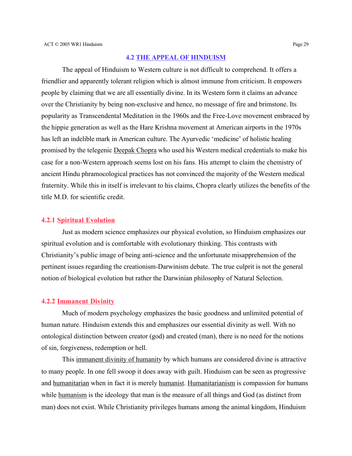#### **4.2 THE APPEAL OF HINDUISM**

The appeal of Hinduism to Western culture is not difficult to comprehend. It offers a friendlier and apparently tolerant religion which is almost immune from criticism. It empowers people by claiming that we are all essentially divine. In its Western form it claims an advance over the Christianity by being non-exclusive and hence, no message of fire and brimstone. Its popularity as Transcendental Meditation in the 1960s and the Free-Love movement embraced by the hippie generation as well as the Hare Krishna movement at American airports in the 1970s has left an indelible mark in American culture. The Ayurvedic 'medicine' of holistic healing promised by the telegenic Deepak Chopra who used his Western medical credentials to make his case for a non-Western approach seems lost on his fans. His attempt to claim the chemistry of ancient Hindu phramocological practices has not convinced the majority of the Western medical fraternity. While this in itself is irrelevant to his claims, Chopra clearly utilizes the benefits of the title M.D. for scientific credit.

#### **4.2.1 Spiritual Evolution**

Just as modern science emphasizes our physical evolution, so Hinduism emphasizes our spiritual evolution and is comfortable with evolutionary thinking. This contrasts with Christianity's public image of being anti-science and the unfortunate misapprehension of the pertinent issues regarding the creationism-Darwinism debate. The true culprit is not the general notion of biological evolution but rather the Darwinian philosophy of Natural Selection.

#### **4.2.2 Immanent Divinity**

Much of modern psychology emphasizes the basic goodness and unlimited potential of human nature. Hinduism extends this and emphasizes our essential divinity as well. With no ontological distinction between creator (god) and created (man), there is no need for the notions of sin, forgiveness, redemption or hell.

This immanent divinity of humanity by which humans are considered divine is attractive to many people. In one fell swoop it does away with guilt. Hinduism can be seen as progressive and humanitarian when in fact it is merely humanist. Humanitarianism is compassion for humans while humanism is the ideology that man is the measure of all things and God (as distinct from man) does not exist. While Christianity privileges humans among the animal kingdom, Hinduism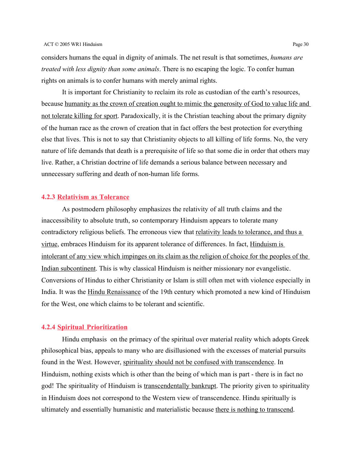considers humans the equal in dignity of animals. The net result is that sometimes, *humans are treated with less dignity than some animals*. There is no escaping the logic. To confer human rights on animals is to confer humans with merely animal rights.

It is important for Christianity to reclaim its role as custodian of the earth's resources, because humanity as the crown of creation ought to mimic the generosity of God to value life and not tolerate killing for sport. Paradoxically, it is the Christian teaching about the primary dignity of the human race as the crown of creation that in fact offers the best protection for everything else that lives. This is not to say that Christianity objects to all killing of life forms. No, the very nature of life demands that death is a prerequisite of life so that some die in order that others may live. Rather, a Christian doctrine of life demands a serious balance between necessary and unnecessary suffering and death of non-human life forms.

#### **4.2.3 Relativism as Tolerance**

As postmodern philosophy emphasizes the relativity of all truth claims and the inaccessibility to absolute truth, so contemporary Hinduism appears to tolerate many contradictory religious beliefs. The erroneous view that relativity leads to tolerance, and thus a virtue, embraces Hinduism for its apparent tolerance of differences. In fact, Hinduism is intolerant of any view which impinges on its claim as the religion of choice for the peoples of the Indian subcontinent. This is why classical Hinduism is neither missionary nor evangelistic. Conversions of Hindus to either Christianity or Islam is still often met with violence especially in India. It was the Hindu Renaissance of the 19th century which promoted a new kind of Hinduism for the West, one which claims to be tolerant and scientific.

#### **4.2.4 Spiritual Prioritization**

Hindu emphasis on the primacy of the spiritual over material reality which adopts Greek philosophical bias, appeals to many who are disillusioned with the excesses of material pursuits found in the West. However, spirituality should not be confused with transcendence. In Hinduism, nothing exists which is other than the being of which man is part - there is in fact no god! The spirituality of Hinduism is transcendentally bankrupt. The priority given to spirituality in Hinduism does not correspond to the Western view of transcendence. Hindu spiritually is ultimately and essentially humanistic and materialistic because there is nothing to transcend.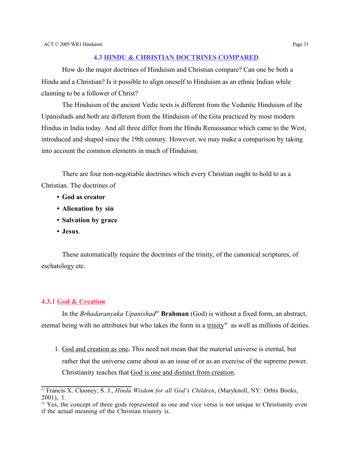#### **4.3 HINDU & CHRISTIAN DOCTRINES COMPARED**

How do the major doctrines of Hinduism and Christian compare? Can one be both a Hindu and a Christian? Is it possible to align oneself to Hinduism as an ethnic Indian while claiming to be a follower of Christ?

The Hinduism of the ancient Vedic texts is different from the Vedantic Hinduism of the Upanishads and both are different from the Hinduism of the Gita practiced by most modern Hindus in India today. And all three differ from the Hindu Renaissance which came to the West, introduced and shaped since the 19th century. However, we may make a comparison by taking into account the common elements in much of Hinduism.

There are four non-negotiable doctrines which every Christian ought to hold to as a Christian. The doctrines of

- **• God as creator**
- **• Alienation by sin**
- **• Salvation by grace**
- **• Jesus**.

These automatically require the doctrines of the trinity, of the canonical scriptures, of eschatology etc.

### **4.3.1 God & Creation**

In the *Brhadaranyaka Upanishad*<sup>45</sup> **Brahman** (God) is without a fixed form, an abstract, eternal being with no attributes but who takes the form in a  $\text{trinity}^{46}$  as well as millions of deities.

1. God and creation as one**.** This need not mean that the material universe is eternal, but rather that the universe came about as an issue of or as an exercise of the supreme power. Christianity teaches that God is one and distinct from creation.

<sup>&</sup>lt;sup>45</sup> Francis X. Clooney, S. J., *Hindu Wisdom for all God's Children*, (Maryknoll, NY: Orbis Books, 2001), 1.

<sup>&</sup>lt;sup>46</sup> Yes, the concept of three gods represented as one and vice versa is not unique to Christianity even if the actual meaning of the Christian triunity is.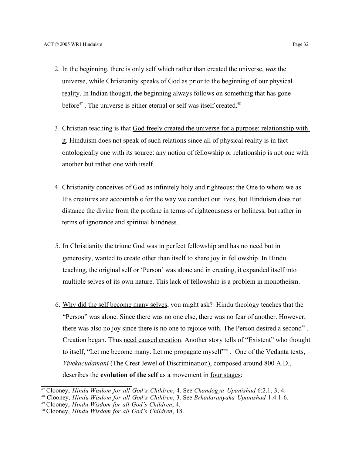- 2. In the beginning, there is only self which rather than created the universe, *was* the universe, while Christianity speaks of God as prior to the beginning of our physical reality. In Indian thought, the beginning always follows on something that has gone before<sup>47</sup>. The universe is either eternal or self was itself created.<sup>48</sup>
- 3. Christian teaching is that God freely created the universe for a purpose: relationship with it. Hinduism does not speak of such relations since all of physical reality is in fact ontologically one with its source: any notion of fellowship or relationship is not one with another but rather one with itself.
- 4. Christianity conceives of God as infinitely holy and righteous; the One to whom we as His creatures are accountable for the way we conduct our lives, but Hinduism does not distance the divine from the profane in terms of righteousness or holiness, but rather in terms of ignorance and spiritual blindness.
- 5. In Christianity the triune God was in perfect fellowship and has no need but in generosity, wanted to create other than itself to share joy in fellowship. In Hindu teaching, the original self or 'Person' was alone and in creating, it expanded itself into multiple selves of its own nature. This lack of fellowship is a problem in monotheism.
- 6. Why did the self become many selves, you might ask? Hindu theology teaches that the "Person" was alone. Since there was no one else, there was no fear of another. However, there was also no joy since there is no one to rejoice with. The Person desired a second<sup>49</sup>. Creation began. Thus need caused creation. Another story tells of "Existent" who thought to itself, "Let me become many. Let me propagate myself"<sup>550</sup>. One of the Vedanta texts, *Vivekacudamani* (The Crest Jewel of Discrimination), composed around 800 A.D., describes the **evolution of the self** as a movement in four stages:

<sup>4 7</sup> Clooney, *Hindu Wisdom for all God's Children*, 4. See *Chandogya Upanishad* 6:2.1, 3, 4.

<sup>4 8</sup> Clooney, *Hindu Wisdom for all God's Children*, 3. See *Brhadaranyaka Upanishad* 1.4.1-6.

<sup>4 9</sup> Clooney, *Hindu Wisdom for all God's Children*, 4.

<sup>5 0</sup> Clooney, *Hindu Wisdom for all God's Children*, 18.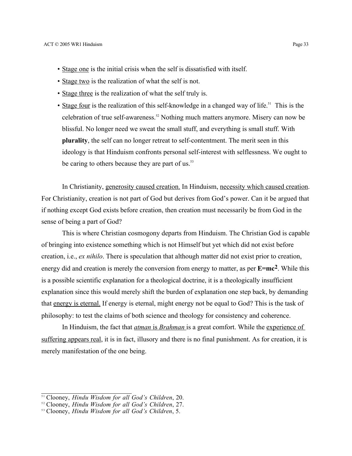- Stage one is the initial crisis when the self is dissatisfied with itself.
- Stage two is the realization of what the self is not.
- Stage three is the realization of what the self truly is.
- Stage four is the realization of this self-knowledge in a changed way of life.<sup>51</sup> This is the celebration of true self-awareness.<sup>52</sup> Nothing much matters anymore. Misery can now be blissful. No longer need we sweat the small stuff, and everything is small stuff. With **plurality**, the self can no longer retreat to self-contentment. The merit seen in this ideology is that Hinduism confronts personal self-interest with selflessness. We ought to be caring to others because they are part of us.<sup>53</sup>

In Christianity, generosity caused creation. In Hinduism, necessity which caused creation. For Christianity, creation is not part of God but derives from God's power. Can it be argued that if nothing except God exists before creation, then creation must necessarily be from God in the sense of being a part of God?

This is where Christian cosmogony departs from Hinduism. The Christian God is capable of bringing into existence something which is not Himself but yet which did not exist before creation, i.e., *ex nihilo*. There is speculation that although matter did not exist prior to creation, energy did and creation is merely the conversion from energy to matter, as per **E=mc2**. While this is a possible scientific explanation for a theological doctrine, it is a theologically insufficient explanation since this would merely shift the burden of explanation one step back, by demanding that energy is eternal. If energy is eternal, might energy not be equal to God? This is the task of philosophy: to test the claims of both science and theology for consistency and coherence.

In Hinduism, the fact that *atman* is *Brahman* is a great comfort. While the experience of suffering appears real, it is in fact, illusory and there is no final punishment. As for creation, it is merely manifestation of the one being.

<sup>5 1</sup> Clooney, *Hindu Wisdom for all God's Children*, 20.

<sup>5 2</sup> Clooney, *Hindu Wisdom for all God's Children*, 27.

<sup>5 3</sup> Clooney, *Hindu Wisdom for all God's Children*, 5.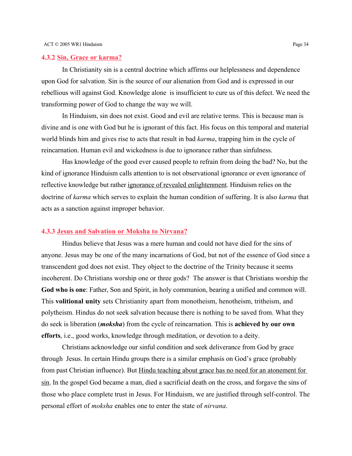#### **4.3.2 Sin, Grace or karma?**

In Christianity sin is a central doctrine which affirms our helplessness and dependence upon God for salvation. Sin is the source of our alienation from God and is expressed in our rebellious will against God. Knowledge alone is insufficient to cure us of this defect. We need the transforming power of God to change the way we will.

In Hinduism, sin does not exist. Good and evil are relative terms. This is because man is divine and is one with God but he is ignorant of this fact. His focus on this temporal and material world blinds him and gives rise to acts that result in bad *karma*, trapping him in the cycle of reincarnation. Human evil and wickedness is due to ignorance rather than sinfulness.

Has knowledge of the good ever caused people to refrain from doing the bad? No, but the kind of ignorance Hinduism calls attention to is not observational ignorance or even ignorance of reflective knowledge but rather ignorance of revealed enlightenment. Hinduism relies on the doctrine of *karma* which serves to explain the human condition of suffering. It is also *karma* that acts as a sanction against improper behavior.

#### **4.3.3 Jesus and Salvation or Moksha to Nirvana?**

Hindus believe that Jesus was a mere human and could not have died for the sins of anyone. Jesus may be one of the many incarnations of God, but not of the essence of God since a transcendent god does not exist. They object to the doctrine of the Trinity because it seems incoherent. Do Christians worship one or three gods? The answer is that Christians worship the **God who is one**: Father, Son and Spirit, in holy communion, bearing a unified and common will. This **volitional unity** sets Christianity apart from monotheism, henotheism, tritheism, and polytheism. Hindus do not seek salvation because there is nothing to be saved from. What they do seek is liberation (*moksha*) from the cycle of reincarnation. This is **achieved by our own efforts**, i.e., good works, knowledge through meditation, or devotion to a deity.

Christians acknowledge our sinful condition and seek deliverance from God by grace through Jesus. In certain Hindu groups there is a similar emphasis on God's grace (probably from past Christian influence). But Hindu teaching about grace has no need for an atonement for sin. In the gospel God became a man, died a sacrificial death on the cross, and forgave the sins of those who place complete trust in Jesus. For Hinduism, we are justified through self-control. The personal effort of *moksha* enables one to enter the state of *nirvana*.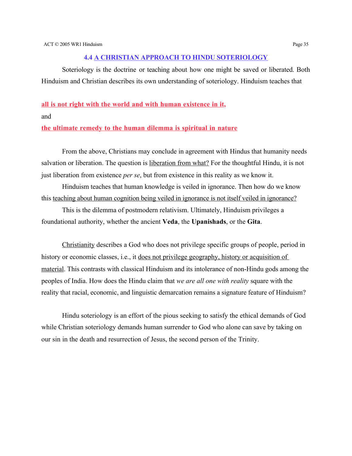#### **4.4 A CHRISTIAN APPROACH TO HINDU SOTERIOLOGY**

Soteriology is the doctrine or teaching about how one might be saved or liberated. Both Hinduism and Christian describes its own understanding of soteriology. Hinduism teaches that

# **all is not right with the world and with human existence in it,**

and

#### **the ultimate remedy to the human dilemma is spiritual in nature**

From the above, Christians may conclude in agreement with Hindus that humanity needs salvation or liberation. The question is liberation from what? For the thoughtful Hindu, it is not just liberation from existence *per se*, but from existence in this reality as we know it.

Hinduism teaches that human knowledge is veiled in ignorance. Then how do we know this teaching about human cognition being veiled in ignorance is not itself veiled in ignorance?

This is the dilemma of postmodern relativism. Ultimately, Hinduism privileges a foundational authority, whether the ancient **Veda**, the **Upanishads**, or the **Gita**.

Christianity describes a God who does not privilege specific groups of people, period in history or economic classes, i.e., it does not privilege geography, history or acquisition of material. This contrasts with classical Hinduism and its intolerance of non-Hindu gods among the peoples of India. How does the Hindu claim that *we are all one with reality* square with the reality that racial, economic, and linguistic demarcation remains a signature feature of Hinduism?

Hindu soteriology is an effort of the pious seeking to satisfy the ethical demands of God while Christian soteriology demands human surrender to God who alone can save by taking on our sin in the death and resurrection of Jesus, the second person of the Trinity.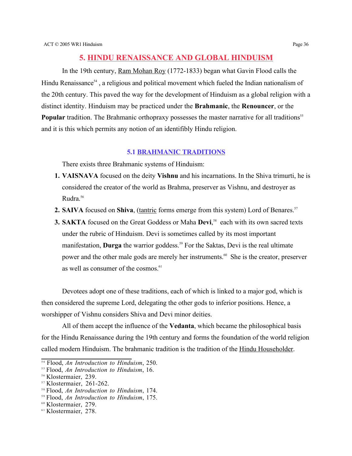### **5. HINDU RENAISSANCE AND GLOBAL HINDUISM**

In the 19th century, Ram Mohan Roy (1772-1833) began what Gavin Flood calls the Hindu Renaissance<sup>54</sup>, a religious and political movement which fueled the Indian nationalism of the 20th century. This paved the way for the development of Hinduism as a global religion with a distinct identity. Hinduism may be practiced under the **Brahmanic**, the **Renouncer**, or the **Popular** tradition. The Brahmanic orthopraxy possesses the master narrative for all traditions<sup>55</sup> and it is this which permits any notion of an identifibly Hindu religion.

### **5.1 BRAHMANIC TRADITIONS**

There exists three Brahmanic systems of Hinduism:

- **1. VAISNAVA** focused on the deity **Vishnu** and his incarnations. In the Shiva trimurti, he is considered the creator of the world as Brahma, preserver as Vishnu, and destroyer as Rudra<sup>56</sup>
- 2. **SAIVA** focused on **Shiva**, (tantric forms emerge from this system) Lord of Benares.<sup>57</sup>
- **3. SAKTA** focused on the Great Goddess or Maha **Devi**, 58 each with its own sacred texts under the rubric of Hinduism. Devi is sometimes called by its most important manifestation, **Durga** the warrior goddess.<sup>59</sup> For the Saktas, Devi is the real ultimate power and the other male gods are merely her instruments.<sup>60</sup> She is the creator, preserver as well as consumer of the cosmos.<sup>61</sup>

Devotees adopt one of these traditions, each of which is linked to a major god, which is then considered the supreme Lord, delegating the other gods to inferior positions. Hence, a worshipper of Vishnu considers Shiva and Devi minor deities.

All of them accept the influence of the **Vedanta**, which became the philosophical basis for the Hindu Renaissance during the 19th century and forms the foundation of the world religion called modern Hinduism. The brahmanic tradition is the tradition of the Hindu Householder.

<sup>5 4</sup> Flood, *An Introduction to Hinduism*, 250.

<sup>5 5</sup> Flood, *An Introduction to Hinduism*, 16.

<sup>&</sup>lt;sup>56</sup> Klostermaier, 239.

<sup>&</sup>lt;sup>57</sup> Klostermaier, 261-262.

<sup>5 8</sup> Flood, *An Introduction to Hinduism*, 174.

<sup>5 9</sup> Flood, *An Introduction to Hinduism*, 175.

<sup>&</sup>lt;sup>60</sup> Klostermaier, 279.

<sup>&</sup>lt;sup>61</sup> Klostermaier, 278.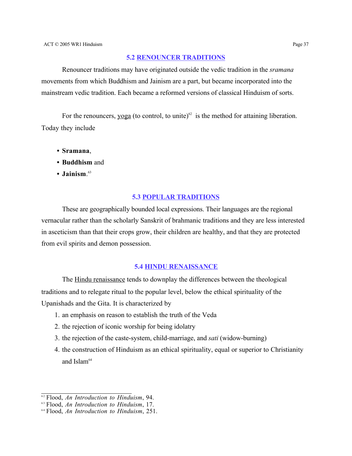#### **5.2 RENOUNCER TRADITIONS**

Renouncer traditions may have originated outside the vedic tradition in the *sramana* movements from which Buddhism and Jainism are a part, but became incorporated into the mainstream vedic tradition. Each became a reformed versions of classical Hinduism of sorts.

For the renouncers,  $yoga$  (to control, to unite)<sup>62</sup> is the method for attaining liberation. Today they include

- **• Sramana**,
- **• Buddhism** and
- **• Jainism**. 63

# **5.3 POPULAR TRADITIONS**

These are geographically bounded local expressions. Their languages are the regional vernacular rather than the scholarly Sanskrit of brahmanic traditions and they are less interested in asceticism than that their crops grow, their children are healthy, and that they are protected from evil spirits and demon possession.

# **5.4 HINDU RENAISSANCE**

The Hindu renaissance tends to downplay the differences between the theological traditions and to relegate ritual to the popular level, below the ethical spirituality of the Upanishads and the Gita. It is characterized by

- 1. an emphasis on reason to establish the truth of the Veda
- 2. the rejection of iconic worship for being idolatry
- 3. the rejection of the caste-system, child-marriage, and *sati* (widow-burning)
- 4. the construction of Hinduism as an ethical spirituality, equal or superior to Christianity and Islam $64$

<sup>6 2</sup> Flood, *An Introduction to Hinduism*, 94.

<sup>6 3</sup> Flood, *An Introduction to Hinduism*, 17.

<sup>6 4</sup> Flood, *An Introduction to Hinduism*, 251.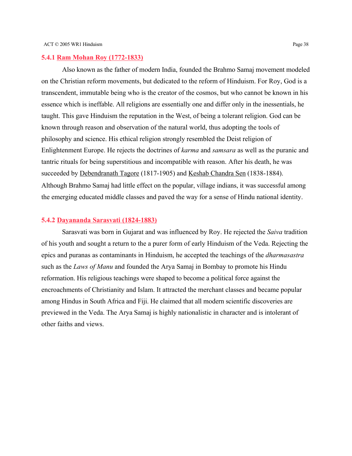#### **5.4.1 Ram Mohan Roy (1772-1833)**

Also known as the father of modern India, founded the Brahmo Samaj movement modeled on the Christian reform movements, but dedicated to the reform of Hinduism. For Roy, God is a transcendent, immutable being who is the creator of the cosmos, but who cannot be known in his essence which is ineffable. All religions are essentially one and differ only in the inessentials, he taught. This gave Hinduism the reputation in the West, of being a tolerant religion. God can be known through reason and observation of the natural world, thus adopting the tools of philosophy and science. His ethical religion strongly resembled the Deist religion of Enlightenment Europe. He rejects the doctrines of *karma* and *samsara* as well as the puranic and tantric rituals for being superstitious and incompatible with reason. After his death, he was succeeded by Debendranath Tagore (1817-1905) and Keshab Chandra Sen (1838-1884). Although Brahmo Samaj had little effect on the popular, village indians, it was successful among the emerging educated middle classes and paved the way for a sense of Hindu national identity.

#### **5.4.2 Dayananda Sarasvati (1824-1883)**

Sarasvati was born in Gujarat and was influenced by Roy. He rejected the *Saiva* tradition of his youth and sought a return to the a purer form of early Hinduism of the Veda. Rejecting the epics and puranas as contaminants in Hinduism, he accepted the teachings of the *dharmasastra* such as the *Laws of Manu* and founded the Arya Samaj in Bombay to promote his Hindu reformation. His religious teachings were shaped to become a political force against the encroachments of Christianity and Islam. It attracted the merchant classes and became popular among Hindus in South Africa and Fiji. He claimed that all modern scientific discoveries are previewed in the Veda. The Arya Samaj is highly nationalistic in character and is intolerant of other faiths and views.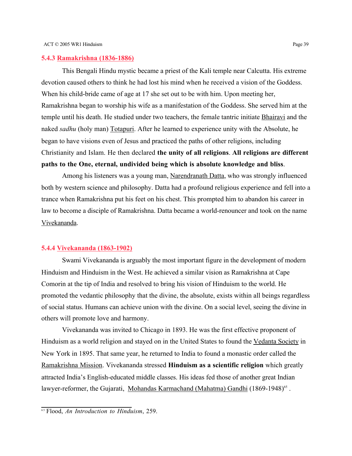#### **5.4.3 Ramakrishna (1836-1886)**

This Bengali Hindu mystic became a priest of the Kali temple near Calcutta. His extreme devotion caused others to think he had lost his mind when he received a vision of the Goddess. When his child-bride came of age at 17 she set out to be with him. Upon meeting her, Ramakrishna began to worship his wife as a manifestation of the Goddess. She served him at the temple until his death. He studied under two teachers, the female tantric initiate Bhairavi and the naked *sadhu* (holy man) Totapuri. After he learned to experience unity with the Absolute, he began to have visions even of Jesus and practiced the paths of other religions, including Christianity and Islam. He then declared **the unity of all religions**. **All religions are different paths to the One, eternal, undivided being which is absolute knowledge and bliss**.

Among his listeners was a young man, Narendranath Datta, who was strongly influenced both by western science and philosophy. Datta had a profound religious experience and fell into a trance when Ramakrishna put his feet on his chest. This prompted him to abandon his career in law to become a disciple of Ramakrishna. Datta became a world-renouncer and took on the name Vivekananda.

#### **5.4.4 Vivekananda (1863-1902)**

Swami Vivekananda is arguably the most important figure in the development of modern Hinduism and Hinduism in the West. He achieved a similar vision as Ramakrishna at Cape Comorin at the tip of India and resolved to bring his vision of Hinduism to the world. He promoted the vedantic philosophy that the divine, the absolute, exists within all beings regardless of social status. Humans can achieve union with the divine. On a social level, seeing the divine in others will promote love and harmony.

Vivekananda was invited to Chicago in 1893. He was the first effective proponent of Hinduism as a world religion and stayed on in the United States to found the Vedanta Society in New York in 1895. That same year, he returned to India to found a monastic order called the Ramakrishna Mission. Vivekananda stressed **Hinduism as a scientific religion** which greatly attracted India's English-educated middle classes. His ideas fed those of another great Indian lawyer-reformer, the Gujarati, Mohandas Karmachand (Mahatma) Gandhi (1869-1948)<sup>65</sup>.

<sup>6 5</sup> Flood, *An Introduction to Hinduism*, 259.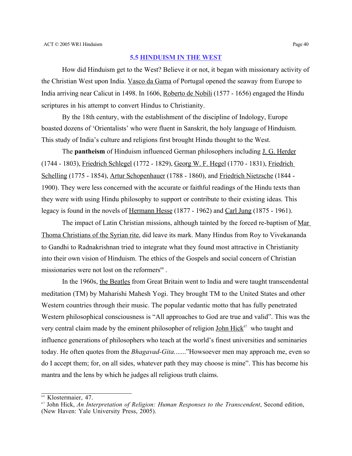#### **5.5 HINDUISM IN THE WEST**

How did Hinduism get to the West? Believe it or not, it began with missionary activity of the Christian West upon India. Vasco da Gama of Portugal opened the seaway from Europe to India arriving near Calicut in 1498. In 1606, Roberto de Nobili (1577 - 1656) engaged the Hindu scriptures in his attempt to convert Hindus to Christianity.

By the 18th century, with the establishment of the discipline of Indology, Europe boasted dozens of 'Orientalists' who were fluent in Sanskrit, the holy language of Hinduism. This study of India's culture and religions first brought Hindu thought to the West.

The **pantheism** of Hinduism influenced German philosophers including J. G. Herder (1744 - 1803), Friedrich Schlegel (1772 - 1829), Georg W. F. Hegel (1770 - 1831), Friedrich Schelling (1775 - 1854), Artur Schopenhauer (1788 - 1860), and Friedrich Nietzsche (1844 - 1900). They were less concerned with the accurate or faithful readings of the Hindu texts than they were with using Hindu philosophy to support or contribute to their existing ideas. This legacy is found in the novels of Hermann Hesse (1877 - 1962) and Carl Jung (1875 - 1961).

The impact of Latin Christian missions, although tainted by the forced re-baptism of Mar Thoma Christians of the Syrian rite, did leave its mark. Many Hindus from Roy to Vivekananda to Gandhi to Radnakrishnan tried to integrate what they found most attractive in Christianity into their own vision of Hinduism. The ethics of the Gospels and social concern of Christian missionaries were not lost on the reformers $<sup>66</sup>$ .</sup>

In the 1960s, the Beatles from Great Britain went to India and were taught transcendental meditation (TM) by Maharishi Mahesh Yogi. They brought TM to the United States and other Western countries through their music. The popular vedantic motto that has fully penetrated Western philosophical consciousness is "All approaches to God are true and valid". This was the very central claim made by the eminent philosopher of religion John Hick $^{67}$  who taught and influence generations of philosophers who teach at the world's finest universities and seminaries today. He often quotes from the *Bhagavad-Gita.*......"Howsoever men may approach me, even so do I accept them; for, on all sides, whatever path they may choose is mine". This has become his mantra and the lens by which he judges all religious truth claims.

<sup>&</sup>lt;sup>66</sup> Klostermaier, 47.

<sup>&</sup>lt;sup>67</sup> John Hick, *An Interpretation of Religion: Human Responses to the Transcendent*, Second edition, (New Haven: Yale University Press, 2005).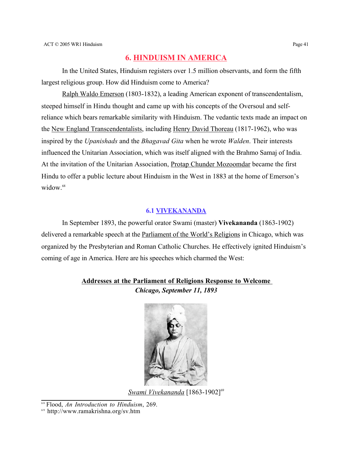# **6. HINDUISM IN AMERICA**

In the United States, Hinduism registers over 1.5 million observants, and form the fifth largest religious group. How did Hinduism come to America?

Ralph Waldo Emerson (1803-1832), a leading American exponent of transcendentalism, steeped himself in Hindu thought and came up with his concepts of the Oversoul and selfreliance which bears remarkable similarity with Hinduism. The vedantic texts made an impact on the New England Transcendentalists, including Henry David Thoreau (1817-1962), who was inspired by the *Upanishads* and the *Bhagavad Gita* when he wrote *Walden*. Their interests influenced the Unitarian Association, which was itself aligned with the Brahmo Samaj of India. At the invitation of the Unitarian Association, Protap Chunder Mozoomdar became the first Hindu to offer a public lecture about Hinduism in the West in 1883 at the home of Emerson's widow.<sup>68</sup>

# **6.1 VIVEKANANDA**

In September 1893, the powerful orator Swami (master) **Vivekananda** (1863-1902) delivered a remarkable speech at the Parliament of the World's Religions in Chicago, which was organized by the Presbyterian and Roman Catholic Churches. He effectively ignited Hinduism's coming of age in America. Here are his speeches which charmed the West:

> **Addresses at the Parliament of Religions Response to Welcome**  *Chicago, September 11, 1893*



*Swami Vivekananda* [1863-1902]<sup>69</sup>

<sup>6 8</sup> Flood, *An Introduction to Hinduism*, 269.

<sup>&</sup>lt;sup>69</sup> http://www.ramakrishna.org/sv.htm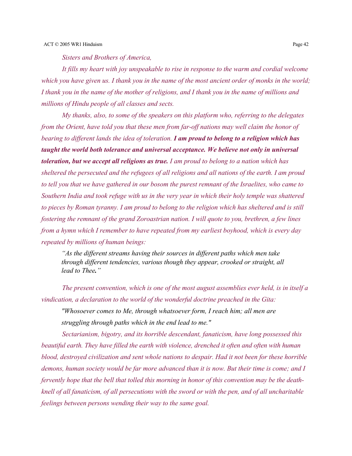*Sisters and Brothers of America,*

*It fills my heart with joy unspeakable to rise in response to the warm and cordial welcome which you have given us. I thank you in the name of the most ancient order of monks in the world; I thank you in the name of the mother of religions, and I thank you in the name of millions and millions of Hindu people of all classes and sects.*

*My thanks, also, to some of the speakers on this platform who, referring to the delegates from the Orient, have told you that these men from far-off nations may well claim the honor of bearing to different lands the idea of toleration. I am proud to belong to a religion which has taught the world both tolerance and universal acceptance. We believe not only in universal toleration, but we accept all religions as true. I am proud to belong to a nation which has sheltered the persecuted and the refugees of all religions and all nations of the earth. I am proud to tell you that we have gathered in our bosom the purest remnant of the Israelites, who came to Southern India and took refuge with us in the very year in which their holy temple was shattered to pieces by Roman tyranny. I am proud to belong to the religion which has sheltered and is still fostering the remnant of the grand Zoroastrian nation. I will quote to you, brethren, a few lines from a hymn which I remember to have repeated from my earliest boyhood, which is every day repeated by millions of human beings:* 

*"As the different streams having their sources in different paths which men take through different tendencies, various though they appear, crooked or straight, all lead to Thee."*

*The present convention, which is one of the most august assemblies ever held, is in itself a vindication, a declaration to the world of the wonderful doctrine preached in the Gita:* 

*"Whosoever comes to Me, through whatsoever form, I reach him; all men are struggling through paths which in the end lead to me."* 

*Sectarianism, bigotry, and its horrible descendant, fanaticism, have long possessed this beautiful earth. They have filled the earth with violence, drenched it often and often with human blood, destroyed civilization and sent whole nations to despair. Had it not been for these horrible demons, human society would be far more advanced than it is now. But their time is come; and I fervently hope that the bell that tolled this morning in honor of this convention may be the deathknell of all fanaticism, of all persecutions with the sword or with the pen, and of all uncharitable feelings between persons wending their way to the same goal.*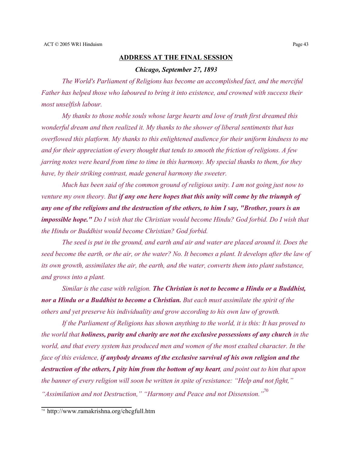#### **ADDRESS AT THE FINAL SESSION**

#### *Chicago, September 27, 1893*

*The World's Parliament of Religions has become an accomplished fact, and the merciful Father has helped those who laboured to bring it into existence, and crowned with success their most unselfish labour.*

*My thanks to those noble souls whose large hearts and love of truth first dreamed this wonderful dream and then realized it. My thanks to the shower of liberal sentiments that has overflowed this platform. My thanks to this enlightened audience for their uniform kindness to me and for their appreciation of every thought that tends to smooth the friction of religions. A few jarring notes were heard from time to time in this harmony. My special thanks to them, for they have, by their striking contrast, made general harmony the sweeter.*

*Much has been said of the common ground of religious unity. I am not going just now to venture my own theory. But if any one here hopes that this unity will come by the triumph of any one of the religions and the destruction of the others, to him I say, "Brother, yours is an impossible hope." Do I wish that the Christian would become Hindu? God forbid. Do I wish that the Hindu or Buddhist would become Christian? God forbid.*

*The seed is put in the ground, and earth and air and water are placed around it. Does the seed become the earth, or the air, or the water? No. It becomes a plant. It develops after the law of its own growth, assimilates the air, the earth, and the water, converts them into plant substance, and grows into a plant.*

*Similar is the case with religion. The Christian is not to become a Hindu or a Buddhist, nor a Hindu or a Buddhist to become a Christian. But each must assimilate the spirit of the others and yet preserve his individuality and grow according to his own law of growth.*

*If the Parliament of Religions has shown anything to the world, it is this: It has proved to the world that holiness, purity and charity are not the exclusive possessions of any church in the world, and that every system has produced men and women of the most exalted character. In the face of this evidence, if anybody dreams of the exclusive survival of his own religion and the destruction of the others, I pity him from the bottom of my heart, and point out to him that upon the banner of every religion will soon be written in spite of resistance: "Help and not fight," "Assimilation and not Destruction," "Harmony and Peace and not Dissension."*<sup>70</sup>

 $\frac{70 \text{ http://www.ramakrishna.org/chcgfull.htm}}{20 \text{ http://www.ramakrishna.org/chcgfull.htm}}$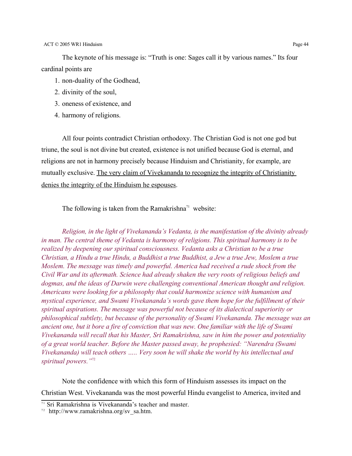The keynote of his message is: "Truth is one: Sages call it by various names." Its four cardinal points are

- 1. non-duality of the Godhead,
- 2. divinity of the soul,
- 3. oneness of existence, and
- 4. harmony of religions.

All four points contradict Christian orthodoxy. The Christian God is not one god but triune, the soul is not divine but created, existence is not unified because God is eternal, and religions are not in harmony precisely because Hinduism and Christianity, for example, are mutually exclusive. The very claim of Vivekananda to recognize the integrity of Christianity denies the integrity of the Hinduism he espouses.

The following is taken from the Ramakrishna<sup>71</sup> website:

*Religion, in the light of Vivekananda's Vedanta, is the manifestation of the divinity already in man. The central theme of Vedanta is harmony of religions. This spiritual harmony is to be realized by deepening our spiritual consciousness. Vedanta asks a Christian to be a true Christian, a Hindu a true Hindu, a Buddhist a true Buddhist, a Jew a true Jew, Moslem a true Moslem. The message was timely and powerful. America had received a rude shock from the Civil War and its aftermath. Science had already shaken the very roots of religious beliefs and dogmas, and the ideas of Darwin were challenging conventional American thought and religion. Americans were looking for a philosophy that could harmonize science with humanism and mystical experience, and Swami Vivekananda's words gave them hope for the fulfillment of their spiritual aspirations. The message was powerful not because of its dialectical superiority or philosophical subtlety, but because of the personality of Swami Vivekananda. The message was an ancient one, but it bore a fire of conviction that was new. One familiar with the life of Swami Vivekananda will recall that his Master, Sri Ramakrishna, saw in him the power and potentiality of a great world teacher. Before the Master passed away, he prophesied: "Narendra (Swami Vivekananda) will teach others ….. Very soon he will shake the world by his intellectual and spiritual powers."*<sup>72</sup>

Note the confidence with which this form of Hinduism assesses its impact on the Christian West. Vivekananda was the most powerful Hindu evangelist to America, invited and

 $\frac{71}{1}$  Sri Ramakrishna is Vivekananda's teacher and master.

 $72$  http://www.ramakrishna.org/sv\_sa.htm.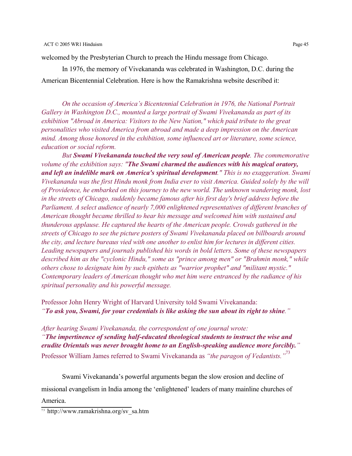welcomed by the Presbyterian Church to preach the Hindu message from Chicago.

In 1976, the memory of Vivekananda was celebrated in Washington, D.C. during the American Bicentennial Celebration. Here is how the Ramakrishna website described it:

*On the occasion of America's Bicentennial Celebration in 1976, the National Portrait Gallery in Washington D.C., mounted a large portrait of Swami Vivekananda as part of its exhibition "Abroad in America: Visitors to the New Nation," which paid tribute to the great personalities who visited America from abroad and made a deep impression on the American mind. Among those honored in the exhibition, some influenced art or literature, some science, education or social reform.* 

*But Swami Vivekananda touched the very soul of American people. The commemorative volume of the exhibition says: "The Swami charmed the audiences with his magical oratory, and left an indelible mark on America's spiritual development." This is no exaggeration. Swami Vivekananda was the first Hindu monk from India ever to visit America. Guided solely by the will of Providence, he embarked on this journey to the new world. The unknown wandering monk, lost in the streets of Chicago, suddenly became famous after his first day's brief address before the Parliament. A select audience of nearly 7,000 enlightened representatives of different branches of American thought became thrilled to hear his message and welcomed him with sustained and thunderous applause. He captured the hearts of the American people. Crowds gathered in the streets of Chicago to see the picture posters of Swami Vivekananda placed on billboards around the city, and lecture bureaus vied with one another to enlist him for lectures in different cities. Leading newspapers and journals published his words in bold letters. Some of these newspapers described him as the "cyclonic Hindu," some as "prince among men" or "Brahmin monk," while others chose to designate him by such epithets as "warrior prophet" and "militant mystic." Contemporary leaders of American thought who met him were entranced by the radiance of his spiritual personality and his powerful message.* 

Professor John Henry Wright of Harvard University told Swami Vivekananda: *"To ask you, Swami, for your credentials is like asking the sun about its right to shine."* 

*After hearing Swami Vivekananda, the correspondent of one journal wrote: "The impertinence of sending half-educated theological students to instruct the wise and erudite Orientals was never brought home to an English-speaking audience more forcibly."*  Professor William James referred to Swami Vivekananda as *"the paragon of Vedantists."*<sup>73</sup>

Swami Vivekananda's powerful arguments began the slow erosion and decline of missional evangelism in India among the 'enlightened' leaders of many mainline churches of America.

 $73$  http://www.ramakrishna.org/sv\_sa.htm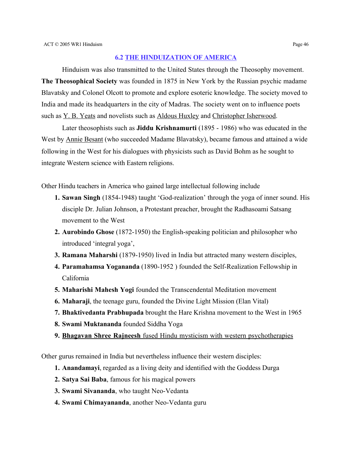#### **6.2 THE HINDUIZATION OF AMERICA**

Hinduism was also transmitted to the United States through the Theosophy movement. **The Theosophical Society** was founded in 1875 in New York by the Russian psychic madame Blavatsky and Colonel Olcott to promote and explore esoteric knowledge. The society moved to India and made its headquarters in the city of Madras. The society went on to influence poets such as Y. B. Yeats and novelists such as Aldous Huxley and Christopher Isherwood.

Later theosophists such as **Jiddu Krishnamurti** (1895 - 1986) who was educated in the West by Annie Besant (who succeeded Madame Blavatsky), became famous and attained a wide following in the West for his dialogues with physicists such as David Bohm as he sought to integrate Western science with Eastern religions.

Other Hindu teachers in America who gained large intellectual following include

- **1. Sawan Singh** (1854-1948) taught 'God-realization' through the yoga of inner sound. His disciple Dr. Julian Johnson, a Protestant preacher, brought the Radhasoami Satsang movement to the West
- **2. Aurobindo Ghose** (1872-1950) the English-speaking politician and philosopher who introduced 'integral yoga',
- **3. Ramana Maharshi** (1879-1950) lived in India but attracted many western disciples,
- **4. Paramahamsa Yogananda** (1890-1952 ) founded the Self-Realization Fellowship in California
- **5. Maharishi Mahesh Yogi** founded the Transcendental Meditation movement
- **6. Maharaji**, the teenage guru, founded the Divine Light Mission (Elan Vital)
- **7. Bhaktivedanta Prabhupada** brought the Hare Krishna movement to the West in 1965
- **8. Swami Muktananda** founded Siddha Yoga
- **9. Bhagavan Shree Rajneesh** fused Hindu mysticism with western psychotherapies

Other gurus remained in India but nevertheless influence their western disciples:

- **1. Anandamayi**, regarded as a living deity and identified with the Goddess Durga
- **2. Satya Sai Baba**, famous for his magical powers
- **3. Swami Sivananda**, who taught Neo-Vedanta
- **4. Swami Chimayananda**, another Neo-Vedanta guru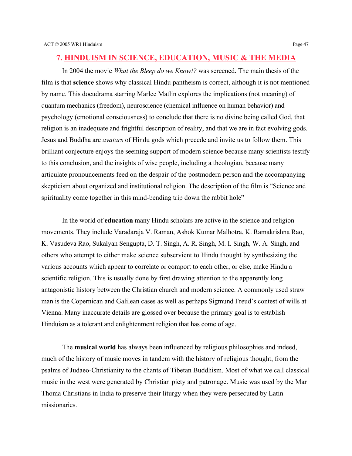# **7. HINDUISM IN SCIENCE, EDUCATION, MUSIC & THE MEDIA**

In 2004 the movie *What the Bleep do we Know!?* was screened. The main thesis of the film is that **science** shows why classical Hindu pantheism is correct, although it is not mentioned by name. This docudrama starring Marlee Matlin explores the implications (not meaning) of quantum mechanics (freedom), neuroscience (chemical influence on human behavior) and psychology (emotional consciousness) to conclude that there is no divine being called God, that religion is an inadequate and frightful description of reality, and that we are in fact evolving gods. Jesus and Buddha are *avatars* of Hindu gods which precede and invite us to follow them. This brilliant conjecture enjoys the seeming support of modern science because many scientists testify to this conclusion, and the insights of wise people, including a theologian, because many articulate pronouncements feed on the despair of the postmodern person and the accompanying skepticism about organized and institutional religion. The description of the film is "Science and spirituality come together in this mind-bending trip down the rabbit hole"

In the world of **education** many Hindu scholars are active in the science and religion movements. They include Varadaraja V. Raman, Ashok Kumar Malhotra, K. Ramakrishna Rao, K. Vasudeva Rao, Sukalyan Sengupta, D. T. Singh, A. R. Singh, M. I. Singh, W. A. Singh, and others who attempt to either make science subservient to Hindu thought by synthesizing the various accounts which appear to correlate or comport to each other, or else, make Hindu a scientific religion. This is usually done by first drawing attention to the apparently long antagonistic history between the Christian church and modern science. A commonly used straw man is the Copernican and Galilean cases as well as perhaps Sigmund Freud's contest of wills at Vienna. Many inaccurate details are glossed over because the primary goal is to establish Hinduism as a tolerant and enlightenment religion that has come of age.

The **musical world** has always been influenced by religious philosophies and indeed, much of the history of music moves in tandem with the history of religious thought, from the psalms of Judaeo-Christianity to the chants of Tibetan Buddhism. Most of what we call classical music in the west were generated by Christian piety and patronage. Music was used by the Mar Thoma Christians in India to preserve their liturgy when they were persecuted by Latin missionaries.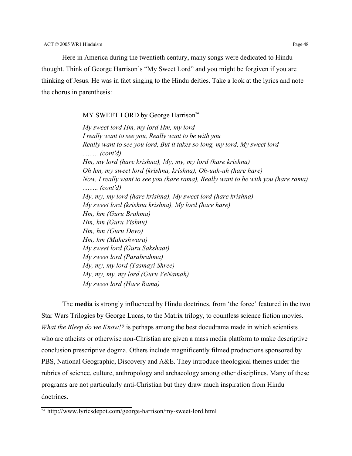Here in America during the twentieth century, many songs were dedicated to Hindu thought. Think of George Harrison's "My Sweet Lord" and you might be forgiven if you are thinking of Jesus. He was in fact singing to the Hindu deities. Take a look at the lyrics and note the chorus in parenthesis:

# MY SWEET LORD by George Harrison<sup>74</sup>

*My sweet lord Hm, my lord Hm, my lord I really want to see you, Really want to be with you Really want to see you lord, But it takes so long, my lord, My sweet lord ......... (cont'd) Hm, my lord (hare krishna), My, my, my lord (hare krishna) Oh hm, my sweet lord (krishna, krishna), Oh-uuh-uh (hare hare) Now, I really want to see you (hare rama), Really want to be with you (hare rama) ......... (cont'd) My, my, my lord (hare krishna), My sweet lord (hare krishna) My sweet lord (krishna krishna), My lord (hare hare) Hm, hm (Guru Brahma) Hm, hm (Guru Vishnu) Hm, hm (Guru Devo) Hm, hm (Maheshwara) My sweet lord (Guru Sakshaat) My sweet lord (Parabrahma) My, my, my lord (Tasmayi Shree) My, my, my, my lord (Guru VeNamah) My sweet lord (Hare Rama)*

The **media** is strongly influenced by Hindu doctrines, from 'the force' featured in the two Star Wars Trilogies by George Lucas, to the Matrix trilogy, to countless science fiction movies. *What the Bleep do we Know!?* is perhaps among the best docudrama made in which scientists who are atheists or otherwise non-Christian are given a mass media platform to make descriptive conclusion prescriptive dogma. Others include magnificently filmed productions sponsored by PBS, National Geographic, Discovery and A&E. They introduce theological themes under the rubrics of science, culture, anthropology and archaeology among other disciplines. Many of these programs are not particularly anti-Christian but they draw much inspiration from Hindu doctrines.

 $\frac{1}{74}$  http://www.lyricsdepot.com/george-harrison/my-sweet-lord.html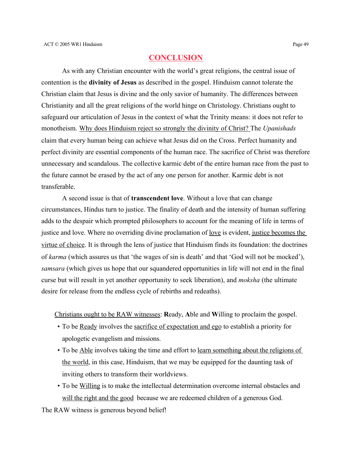### **CONCLUSION**

As with any Christian encounter with the world's great religions, the central issue of contention is the **divinity of Jesus** as described in the gospel. Hinduism cannot tolerate the Christian claim that Jesus is divine and the only savior of humanity. The differences between Christianity and all the great religions of the world hinge on Christology. Christians ought to safeguard our articulation of Jesus in the context of what the Trinity means: it does not refer to monotheism. Why does Hinduism reject so strongly the divinity of Christ? The *Upanishads*  claim that every human being can achieve what Jesus did on the Cross. Perfect humanity and perfect divinity are essential components of the human race. The sacrifice of Christ was therefore unnecessary and scandalous. The collective karmic debt of the entire human race from the past to the future cannot be erased by the act of any one person for another. Karmic debt is not transferable.

A second issue is that of **transcendent love**. Without a love that can change circumstances, Hindus turn to justice. The finality of death and the intensity of human suffering adds to the despair which prompted philosophers to account for the meaning of life in terms of justice and love. Where no overriding divine proclamation of <u>love</u> is evident, justice becomes the virtue of choice. It is through the lens of justice that Hinduism finds its foundation: the doctrines of *karma* (which assures us that 'the wages of sin is death' and that 'God will not be mocked'), *samsara* (which gives us hope that our squandered opportunities in life will not end in the final curse but will result in yet another opportunity to seek liberation), and *moksha* (the ultimate desire for release from the endless cycle of rebirths and redeaths).

#### Christians ought to be RAW witnesses: **R**eady, **A**ble and **W**illing to proclaim the gospel.

- To be Ready involves the sacrifice of expectation and ego to establish a priority for apologetic evangelism and missions.
- To be Able involves taking the time and effort to <u>learn something about the religions of</u> the world, in this case, Hinduism, that we may be equipped for the daunting task of inviting others to transform their worldviews.
- To be Willing is to make the intellectual determination overcome internal obstacles and will the right and the good because we are redeemed children of a generous God.

The RAW witness is generous beyond belief!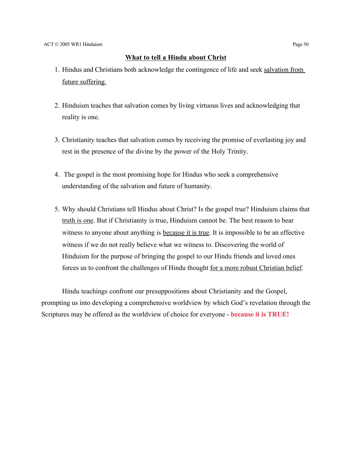# **What to tell a Hindu about Christ**

- 1. Hindus and Christians both acknowledge the contingence of life and seek salvation from future suffering.
- 2. Hinduism teaches that salvation comes by living virtuous lives and acknowledging that reality is one.
- 3. Christianity teaches that salvation comes by receiving the promise of everlasting joy and rest in the presence of the divine by the power of the Holy Trinity.
- 4. The gospel is the most promising hope for Hindus who seek a comprehensive understanding of the salvation and future of humanity.
- 5. Why should Christians tell Hindus about Christ? Is the gospel true? Hinduism claims that truth is one. But if Christianity is true, Hinduism cannot be. The best reason to bear witness to anyone about anything is because it is true. It is impossible to be an effective witness if we do not really believe what we witness to. Discovering the world of Hinduism for the purpose of bringing the gospel to our Hindu friends and loved ones forces us to confront the challenges of Hindu thought for a more robust Christian belief.

Hindu teachings confront our presuppositions about Christianity and the Gospel, prompting us into developing a comprehensive worldview by which God's revelation through the Scriptures may be offered as the worldview of choice for everyone - **because it is TRUE!**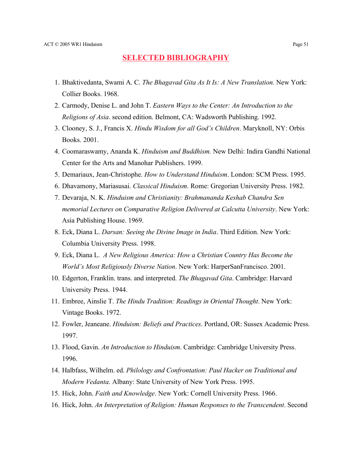#### **SELECTED BIBLIOGRAPHY**

- 1. Bhaktivedanta, Swami A. C. *The Bhagavad Gita As It Is: A New Translation.* New York: Collier Books. 1968.
- 2. Carmody, Denise L. and John T. *Eastern Ways to the Center: An Introduction to the Religions of Asia*. second edition. Belmont, CA: Wadsworth Publishing. 1992.
- 3. Clooney, S. J., Francis X. *Hindu Wisdom for all God's Children*. Maryknoll, NY: Orbis Books. 2001.
- 4. Coomaraswamy, Ananda K. *Hinduism and Buddhism.* New Delhi: Indira Gandhi National Center for the Arts and Manohar Publishers. 1999.
- 5. Demariaux, Jean-Christophe. *How to Understand Hinduism*. London: SCM Press. 1995.
- 6. Dhavamony, Mariasusai. *Classical Hinduism*. Rome: Gregorian University Press. 1982.
- 7. Devaraja, N. K. *Hinduism and Christianity: Brahmananda Keshab Chandra Sen memorial Lectures on Comparative Religion Delivered at Calcutta University*. New York: Asia Publishing House. 1969.
- 8. Eck, Diana L. *Darsan: Seeing the Divine Image in India*. Third Edition. New York: Columbia University Press. 1998.
- 9. Eck, Diana L. *A New Religious America: How a Christian Country Has Become the World's Most Religiously Diverse Nation*. New York: HarperSanFrancisco. 2001.
- 10. Edgerton, Franklin. trans. and interpreted. *The Bhagavad Gita*. Cambridge: Harvard University Press. 1944.
- 11. Embree, Ainslie T. *The Hindu Tradition: Readings in Oriental Thought*. New York: Vintage Books. 1972.
- 12. Fowler, Jeaneane. *Hinduism: Beliefs and Practices*. Portland, OR: Sussex Academic Press. 1997.
- 13. Flood, Gavin. *An Introduction to Hinduism*. Cambridge: Cambridge University Press. 1996.
- 14. Halbfass, Wilhelm. ed. *Philology and Confrontation: Paul Hacker on Traditional and Modern Vedanta*. Albany: State University of New York Press. 1995.
- 15. Hick, John. *Faith and Knowledge*. New York: Cornell University Press. 1966.
- 16. Hick, John. *An Interpretation of Religion: Human Responses to the Transcendent*. Second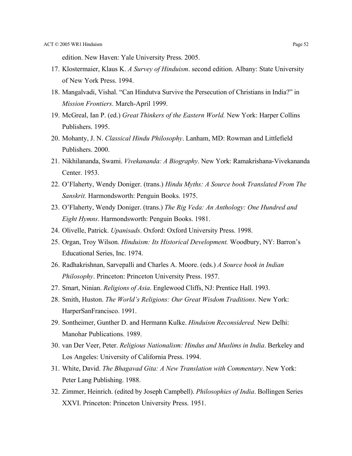edition. New Haven: Yale University Press. 2005.

- 17. Klostermaier, Klaus K. *A Survey of Hinduism*. second edition. Albany: State University of New York Press. 1994.
- 18. Mangalvadi, Vishal. "Can Hindutva Survive the Persecution of Christians in India?" in *Mission Frontiers*. March-April 1999.
- 19. McGreal, Ian P. (ed.) *Great Thinkers of the Eastern World.* New York: Harper Collins Publishers. 1995.
- 20. Mohanty, J. N. *Classical Hindu Philosophy*. Lanham, MD: Rowman and Littlefield Publishers. 2000.
- 21. Nikhilananda, Swami. *Vivekananda: A Biography*. New York: Ramakrishana-Vivekananda Center. 1953.
- 22. O'Flaherty, Wendy Doniger. (trans.) *Hindu Myths: A Source book Translated From The Sanskrit.* Harmondsworth: Penguin Books. 1975.
- 23. O'Flaherty, Wendy Doniger. (trans.) *The Rig Veda: An Anthology: One Hundred and Eight Hymns*. Harmondsworth: Penguin Books. 1981.
- 24. Olivelle, Patrick. *Upanisads*. Oxford: Oxford University Press. 1998.
- 25. Organ, Troy Wilson. *Hinduism: Its Historical Development.* Woodbury, NY: Barron's Educational Series, Inc. 1974.
- 26. Radhakrishnan, Sarvepalli and Charles A. Moore. (eds.) *A Source book in Indian Philosophy*. Princeton: Princeton University Press. 1957.
- 27. Smart, Ninian. *Religions of Asia*. Englewood Cliffs, NJ: Prentice Hall. 1993.
- 28. Smith, Huston. *The World's Religions: Our Great Wisdom Traditions.* New York: HarperSanFrancisco. 1991.
- 29. Sontheimer, Gunther D. and Hermann Kulke. *Hinduism Reconsidered.* New Delhi: Manohar Publications. 1989.
- 30. van Der Veer, Peter. *Religious Nationalism: Hindus and Muslims in India*. Berkeley and Los Angeles: University of California Press. 1994.
- 31. White, David. *The Bhagavad Gita: A New Translation with Commentary*. New York: Peter Lang Publishing. 1988.
- 32. Zimmer, Heinrich. (edited by Joseph Campbell). *Philosophies of India*. Bollingen Series XXVI. Princeton: Princeton University Press. 1951.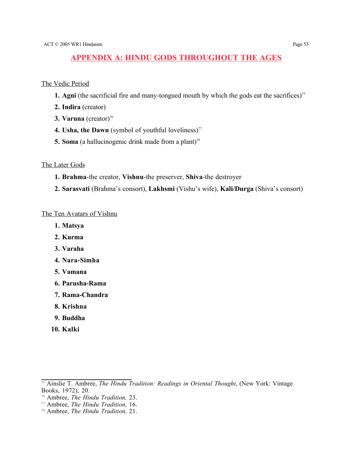# **APPENDIX A: HINDU GODS THROUGHOUT THE AGES**

# The Vedic Period

- **1. Agni** (the sacrificial fire and many-tongued mouth by which the gods eat the sacrifices)<sup>75</sup>
- **2. Indira** (creator)
- **3. Varuna** (creator)<sup>76</sup>
- **4. Usha, the Dawn** (symbol of youthful loveliness)<sup>77</sup>
- **5. Soma** (a hallucinogenic drink made from a plant)<sup>78</sup>

# The Later Gods

- **1. Brahma**-the creator, **Vishnu**-the preserver, **Shiva**-the destroyer
- **2. Sarasvati** (Brahma's consort), **Lakhsmi** (Vishu's wife), **Kali/Durga** (Shiva's consort)

# The Ten Avatars of Vishnu

- **1. Matsya**
- **2. Kurma**
- **3. Varaha**
- **4. Nara-Simha**
- **5. Vamana**
- **6. Parusha-Rama**
- **7. Rama-Chandra**
- **8. Krishna**
- **9. Buddha**
- **10. Kalki**

<sup>&</sup>lt;sup>75</sup> Ainslie T. Ambree, *The Hindu Tradition: Readings in Oriental Thought*, (New York: Vintage Books, 1972), 20.

<sup>&</sup>lt;sup>76</sup> Ambree, *The Hindu Tradition*, 23.

<sup>7 7</sup> Ambree, *The Hindu Tradition,* 16.

<sup>&</sup>lt;sup>78</sup> Ambree, *The Hindu Tradition*, 21.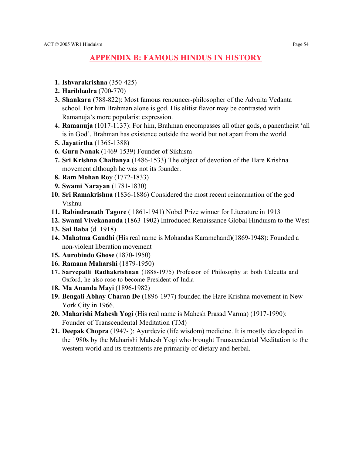# **APPENDIX B: FAMOUS HINDUS IN HISTORY**

- **1. Ishvarakrishna** (350-425)
- **2. Haribhadra** (700-770)
- **3. Shankara** (788-822): Most famous renouncer-philosopher of the Advaita Vedanta school. For him Brahman alone is god. His elitist flavor may be contrasted with Ramanuja's more popularist expression.
- **4. Ramanuja** (1017-1137): For him, Brahman encompasses all other gods, a panentheist 'all is in God'. Brahman has existence outside the world but not apart from the world.
- **5. Jayatirtha** (1365-1388)
- **6. Guru Nanak** (1469-1539) Founder of Sikhism
- **7. Sri Krishna Chaitanya** (1486-1533) The object of devotion of the Hare Krishna movement although he was not its founder.
- **8. Ram Mohan Ro**y (1772-1833)
- **9. Swami Narayan** (1781-1830)
- **10. Sri Ramakrishna** (1836-1886) Considered the most recent reincarnation of the god Vishnu
- **11. Rabindranath Tagore** ( 1861-1941) Nobel Prize winner for Literature in 1913
- **12. Swami Vivekananda** (1863-1902) Introduced Renaissance Global Hinduism to the West
- **13. Sai Baba** (d. 1918)
- **14. Mahatma Gandhi** (His real name is Mohandas Karamchand)(1869-1948): Founded a non-violent liberation movement
- **15. Aurobindo Ghose** (1870-1950)
- **16. Ramana Maharshi** (1879-1950)
- **17. Sarvepalli Radhakrishnan** (1888-1975) Professor of Philosophy at both Calcutta and Oxford, he also rose to become President of India
- **18. Ma Ananda Mayi** (1896-1982)
- **19. Bengali Abhay Charan De** (1896-1977) founded the Hare Krishna movement in New York City in 1966.
- **20. Maharishi Mahesh Yogi** (His real name is Mahesh Prasad Varma) (1917-1990): Founder of Transcendental Meditation (TM)
- **21. Deepak Chopra** (1947- ): Ayurdevic (life wisdom) medicine. It is mostly developed in the 1980s by the Maharishi Mahesh Yogi who brought Transcendental Meditation to the western world and its treatments are primarily of dietary and herbal.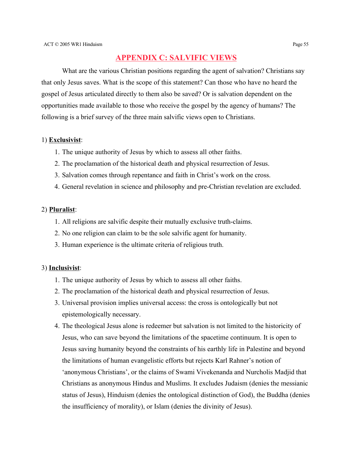# **APPENDIX C: SALVIFIC VIEWS**

What are the various Christian positions regarding the agent of salvation? Christians say that only Jesus saves. What is the scope of this statement? Can those who have no heard the gospel of Jesus articulated directly to them also be saved? Or is salvation dependent on the opportunities made available to those who receive the gospel by the agency of humans? The following is a brief survey of the three main salvific views open to Christians.

#### 1) **Exclusivist**:

- 1. The unique authority of Jesus by which to assess all other faiths.
- 2. The proclamation of the historical death and physical resurrection of Jesus.
- 3. Salvation comes through repentance and faith in Christ's work on the cross.
- 4. General revelation in science and philosophy and pre-Christian revelation are excluded.

### 2) **Pluralist**:

- 1. All religions are salvific despite their mutually exclusive truth-claims.
- 2. No one religion can claim to be the sole salvific agent for humanity.
- 3. Human experience is the ultimate criteria of religious truth.

#### 3) **Inclusivist**:

- 1. The unique authority of Jesus by which to assess all other faiths.
- 2. The proclamation of the historical death and physical resurrection of Jesus.
- 3. Universal provision implies universal access: the cross is ontologically but not epistemologically necessary.
- 4. The theological Jesus alone is redeemer but salvation is not limited to the historicity of Jesus, who can save beyond the limitations of the spacetime continuum. It is open to Jesus saving humanity beyond the constraints of his earthly life in Palestine and beyond the limitations of human evangelistic efforts but rejects Karl Rahner's notion of 'anonymous Christians', or the claims of Swami Vivekenanda and Nurcholis Madjid that Christians as anonymous Hindus and Muslims. It excludes Judaism (denies the messianic status of Jesus), Hinduism (denies the ontological distinction of God), the Buddha (denies the insufficiency of morality), or Islam (denies the divinity of Jesus).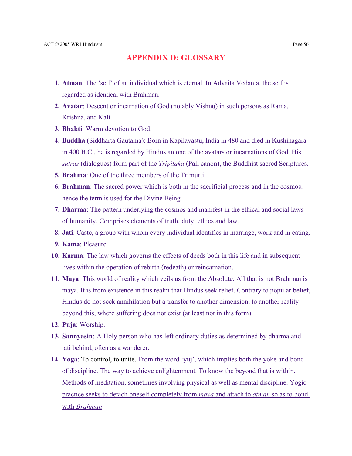# **APPENDIX D: GLOSSARY**

- **1. Atman**: The 'self' of an individual which is eternal. In Advaita Vedanta, the self is regarded as identical with Brahman.
- **2. Avatar**: Descent or incarnation of God (notably Vishnu) in such persons as Rama, Krishna, and Kali.
- **3. Bhakti**: Warm devotion to God.
- **4. Buddha** (Siddharta Gautama): Born in Kapilavastu, India in 480 and died in Kushinagara in 400 B.C., he is regarded by Hindus an one of the avatars or incarnations of God. His *sutras* (dialogues) form part of the *Tripitaka* (Pali canon), the Buddhist sacred Scriptures.
- **5. Brahma**: One of the three members of the Trimurti
- **6. Brahman**: The sacred power which is both in the sacrificial process and in the cosmos: hence the term is used for the Divine Being.
- **7. Dharma**: The pattern underlying the cosmos and manifest in the ethical and social laws of humanity. Comprises elements of truth, duty, ethics and law.
- **8. Jati**: Caste, a group with whom every individual identifies in marriage, work and in eating.
- **9. Kama**: Pleasure
- **10. Karma**: The law which governs the effects of deeds both in this life and in subsequent lives within the operation of rebirth (redeath) or reincarnation.
- **11. Maya**: This world of reality which veils us from the Absolute. All that is not Brahman is maya. It is from existence in this realm that Hindus seek relief. Contrary to popular belief, Hindus do not seek annihilation but a transfer to another dimension, to another reality beyond this, where suffering does not exist (at least not in this form).
- **12. Puja**: Worship.
- **13. Sannyasin**: A Holy person who has left ordinary duties as determined by dharma and jati behind, often as a wanderer.
- **14. Yoga**: To control, to unite. From the word 'yuj', which implies both the yoke and bond of discipline. The way to achieve enlightenment. To know the beyond that is within. Methods of meditation, sometimes involving physical as well as mental discipline. Yogic practice seeks to detach oneself completely from *maya* and attach to *atman* so as to bond with *Brahman*.